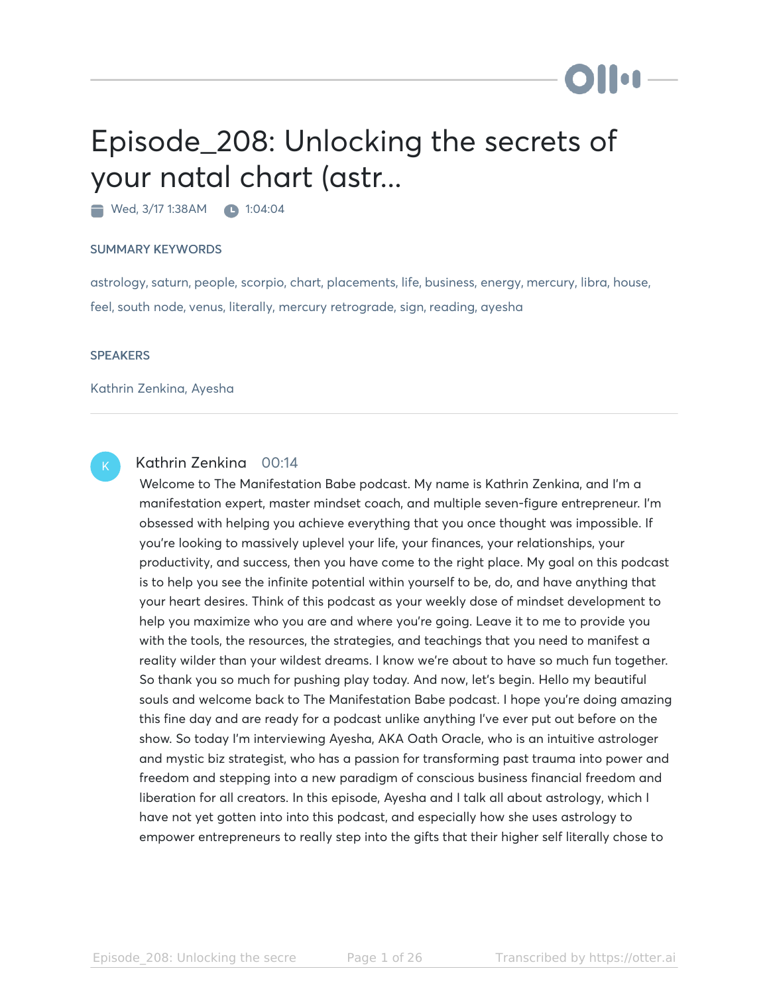# Episode\_208: Unlocking the secrets of your natal chart (astr...

Wed, 3/17 1:38AM 1:04:04

#### SUMMARY KEYWORDS

astrology, saturn, people, scorpio, chart, placements, life, business, energy, mercury, libra, house, feel, south node, venus, literally, mercury retrograde, sign, reading, ayesha

#### **SPEAKERS**

Kathrin Zenkina, Ayesha



# Kathrin Zenkina 00:14

Welcome to The Manifestation Babe podcast. My name is Kathrin Zenkina, and I'm a manifestation expert, master mindset coach, and multiple seven-figure entrepreneur. I'm obsessed with helping you achieve everything that you once thought was impossible. If you're looking to massively uplevel your life, your finances, your relationships, your productivity, and success, then you have come to the right place. My goal on this podcast is to help you see the infinite potential within yourself to be, do, and have anything that your heart desires. Think of this podcast as your weekly dose of mindset development to help you maximize who you are and where you're going. Leave it to me to provide you with the tools, the resources, the strategies, and teachings that you need to manifest a reality wilder than your wildest dreams. I know we're about to have so much fun together. So thank you so much for pushing play today. And now, let's begin. Hello my beautiful souls and welcome back to The Manifestation Babe podcast. I hope you're doing amazing this fine day and are ready for a podcast unlike anything I've ever put out before on the show. So today I'm interviewing Ayesha, AKA Oath Oracle, who is an intuitive astrologer and mystic biz strategist, who has a passion for transforming past trauma into power and freedom and stepping into a new paradigm of conscious business financial freedom and liberation for all creators. In this episode, Ayesha and I talk all about astrology, which I have not yet gotten into into this podcast, and especially how she uses astrology to empower entrepreneurs to really step into the gifts that their higher self literally chose to

**DII:**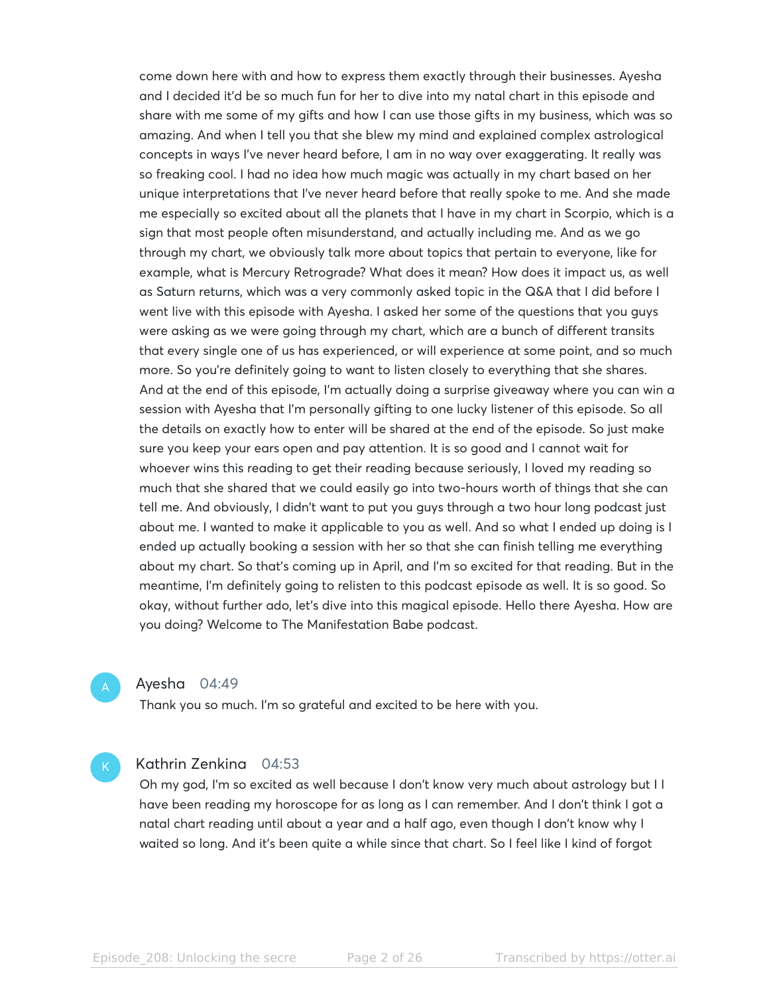come down here with and how to express them exactly through their businesses. Ayesha and I decided it'd be so much fun for her to dive into my natal chart in this episode and share with me some of my gifts and how I can use those gifts in my business, which was so amazing. And when I tell you that she blew my mind and explained complex astrological concepts in ways I've never heard before, I am in no way over exaggerating. It really was so freaking cool. I had no idea how much magic was actually in my chart based on her unique interpretations that I've never heard before that really spoke to me. And she made me especially so excited about all the planets that I have in my chart in Scorpio, which is a sign that most people often misunderstand, and actually including me. And as we go through my chart, we obviously talk more about topics that pertain to everyone, like for example, what is Mercury Retrograde? What does it mean? How does it impact us, as well as Saturn returns, which was a very commonly asked topic in the Q&A that I did before I went live with this episode with Ayesha. I asked her some of the questions that you guys were asking as we were going through my chart, which are a bunch of different transits that every single one of us has experienced, or will experience at some point, and so much more. So you're definitely going to want to listen closely to everything that she shares. And at the end of this episode, I'm actually doing a surprise giveaway where you can win a session with Ayesha that I'm personally gifting to one lucky listener of this episode. So all the details on exactly how to enter will be shared at the end of the episode. So just make sure you keep your ears open and pay attention. It is so good and I cannot wait for whoever wins this reading to get their reading because seriously, I loved my reading so much that she shared that we could easily go into two-hours worth of things that she can tell me. And obviously, I didn't want to put you guys through a two hour long podcast just about me. I wanted to make it applicable to you as well. And so what I ended up doing is I ended up actually booking a session with her so that she can finish telling me everything about my chart. So that's coming up in April, and I'm so excited for that reading. But in the meantime, I'm definitely going to relisten to this podcast episode as well. It is so good. So okay, without further ado, let's dive into this magical episode. Hello there Ayesha. How are you doing? Welcome to The Manifestation Babe podcast.

Ayesha 04:49

Thank you so much. I'm so grateful and excited to be here with you.

#### Kathrin Zenkina 04:53

Oh my god, I'm so excited as well because I don't know very much about astrology but I I have been reading my horoscope for as long as I can remember. And I don't think I got a natal chart reading until about a year and a half ago, even though I don't know why I waited so long. And it's been quite a while since that chart. So I feel like I kind of forgot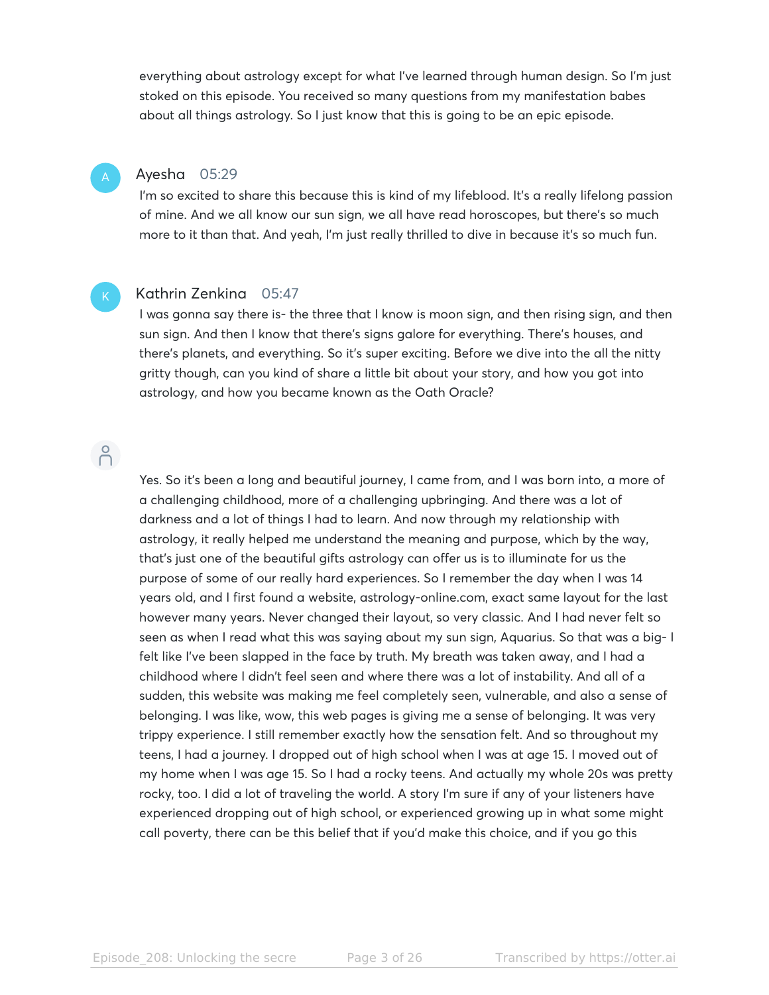everything about astrology except for what I've learned through human design. So I'm just stoked on this episode. You received so many questions from my manifestation babes about all things astrology. So I just know that this is going to be an epic episode.

# Ayesha 05:29

I'm so excited to share this because this is kind of my lifeblood. It's a really lifelong passion of mine. And we all know our sun sign, we all have read horoscopes, but there's so much more to it than that. And yeah, I'm just really thrilled to dive in because it's so much fun.

#### Kathrin Zenkina 05:47

I was gonna say there is- the three that I know is moon sign, and then rising sign, and then sun sign. And then I know that there's signs galore for everything. There's houses, and there's planets, and everything. So it's super exciting. Before we dive into the all the nitty gritty though, can you kind of share a little bit about your story, and how you got into astrology, and how you became known as the Oath Oracle?

# $\bigcap^{\circ}$

Yes. So it's been a long and beautiful journey, I came from, and I was born into, a more of a challenging childhood, more of a challenging upbringing. And there was a lot of darkness and a lot of things I had to learn. And now through my relationship with astrology, it really helped me understand the meaning and purpose, which by the way, that's just one of the beautiful gifts astrology can offer us is to illuminate for us the purpose of some of our really hard experiences. So I remember the day when I was 14 years old, and I first found a website, astrology-online.com, exact same layout for the last however many years. Never changed their layout, so very classic. And I had never felt so seen as when I read what this was saying about my sun sign, Aquarius. So that was a big- I felt like I've been slapped in the face by truth. My breath was taken away, and I had a childhood where I didn't feel seen and where there was a lot of instability. And all of a sudden, this website was making me feel completely seen, vulnerable, and also a sense of belonging. I was like, wow, this web pages is giving me a sense of belonging. It was very trippy experience. I still remember exactly how the sensation felt. And so throughout my teens, I had a journey. I dropped out of high school when I was at age 15. I moved out of my home when I was age 15. So I had a rocky teens. And actually my whole 20s was pretty rocky, too. I did a lot of traveling the world. A story I'm sure if any of your listeners have experienced dropping out of high school, or experienced growing up in what some might call poverty, there can be this belief that if you'd make this choice, and if you go this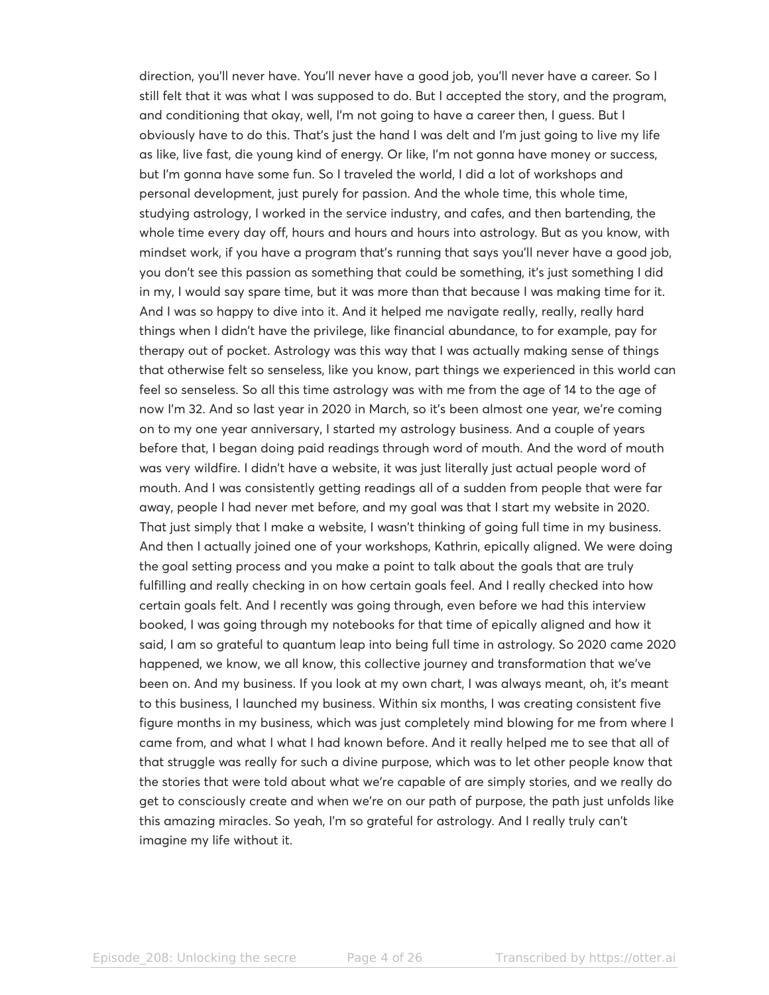direction, you'll never have. You'll never have a good job, you'll never have a career. So I still felt that it was what I was supposed to do. But I accepted the story, and the program, and conditioning that okay, well, I'm not going to have a career then, I guess. But I obviously have to do this. That's just the hand I was delt and I'm just going to live my life as like, live fast, die young kind of energy. Or like, I'm not gonna have money or success, but I'm gonna have some fun. So I traveled the world, I did a lot of workshops and personal development, just purely for passion. And the whole time, this whole time, studying astrology, I worked in the service industry, and cafes, and then bartending, the whole time every day off, hours and hours and hours into astrology. But as you know, with mindset work, if you have a program that's running that says you'll never have a good job, you don't see this passion as something that could be something, it's just something I did in my, I would say spare time, but it was more than that because I was making time for it. And I was so happy to dive into it. And it helped me navigate really, really, really hard things when I didn't have the privilege, like financial abundance, to for example, pay for therapy out of pocket. Astrology was this way that I was actually making sense of things that otherwise felt so senseless, like you know, part things we experienced in this world can feel so senseless. So all this time astrology was with me from the age of 14 to the age of now I'm 32. And so last year in 2020 in March, so it's been almost one year, we're coming on to my one year anniversary, I started my astrology business. And a couple of years before that, I began doing paid readings through word of mouth. And the word of mouth was very wildfire. I didn't have a website, it was just literally just actual people word of mouth. And I was consistently getting readings all of a sudden from people that were far away, people I had never met before, and my goal was that I start my website in 2020. That just simply that I make a website, I wasn't thinking of going full time in my business. And then I actually joined one of your workshops, Kathrin, epically aligned. We were doing the goal setting process and you make a point to talk about the goals that are truly fulfilling and really checking in on how certain goals feel. And I really checked into how certain goals felt. And I recently was going through, even before we had this interview booked, I was going through my notebooks for that time of epically aligned and how it said, I am so grateful to quantum leap into being full time in astrology. So 2020 came 2020 happened, we know, we all know, this collective journey and transformation that we've been on. And my business. If you look at my own chart, I was always meant, oh, it's meant to this business, I launched my business. Within six months, I was creating consistent five figure months in my business, which was just completely mind blowing for me from where I came from, and what I what I had known before. And it really helped me to see that all of that struggle was really for such a divine purpose, which was to let other people know that the stories that were told about what we're capable of are simply stories, and we really do get to consciously create and when we're on our path of purpose, the path just unfolds like this amazing miracles. So yeah, I'm so grateful for astrology. And I really truly can't imagine my life without it.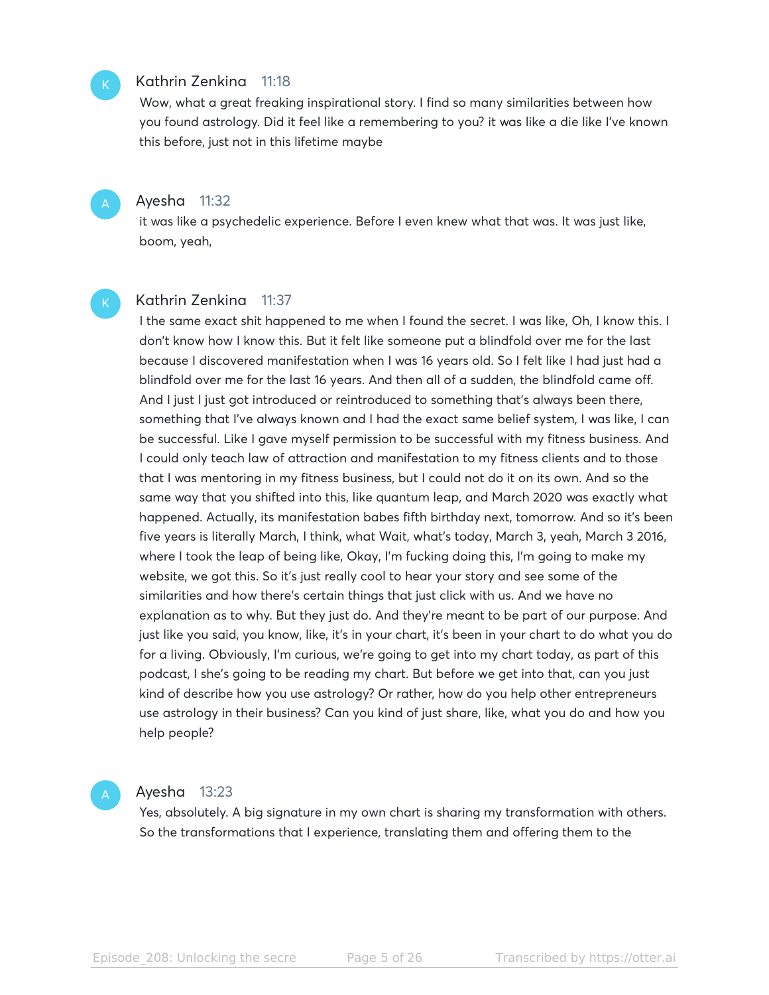#### Kathrin Zenkina 11:18

Wow, what a great freaking inspirational story. I find so many similarities between how you found astrology. Did it feel like a remembering to you? it was like a die like I've known this before, just not in this lifetime maybe

Ayesha 11:32

it was like a psychedelic experience. Before I even knew what that was. It was just like, boom, yeah,

### Kathrin Zenkina 11:37

I the same exact shit happened to me when I found the secret. I was like, Oh, I know this. I don't know how I know this. But it felt like someone put a blindfold over me for the last because I discovered manifestation when I was 16 years old. So I felt like I had just had a blindfold over me for the last 16 years. And then all of a sudden, the blindfold came off. And I just I just got introduced or reintroduced to something that's always been there, something that I've always known and I had the exact same belief system, I was like, I can be successful. Like I gave myself permission to be successful with my fitness business. And I could only teach law of attraction and manifestation to my fitness clients and to those that I was mentoring in my fitness business, but I could not do it on its own. And so the same way that you shifted into this, like quantum leap, and March 2020 was exactly what happened. Actually, its manifestation babes fifth birthday next, tomorrow. And so it's been five years is literally March, I think, what Wait, what's today, March 3, yeah, March 3 2016, where I took the leap of being like, Okay, I'm fucking doing this, I'm going to make my website, we got this. So it's just really cool to hear your story and see some of the similarities and how there's certain things that just click with us. And we have no explanation as to why. But they just do. And they're meant to be part of our purpose. And just like you said, you know, like, it's in your chart, it's been in your chart to do what you do for a living. Obviously, I'm curious, we're going to get into my chart today, as part of this podcast, I she's going to be reading my chart. But before we get into that, can you just kind of describe how you use astrology? Or rather, how do you help other entrepreneurs use astrology in their business? Can you kind of just share, like, what you do and how you help people?

#### Ayesha 13:23

Yes, absolutely. A big signature in my own chart is sharing my transformation with others. So the transformations that I experience, translating them and offering them to the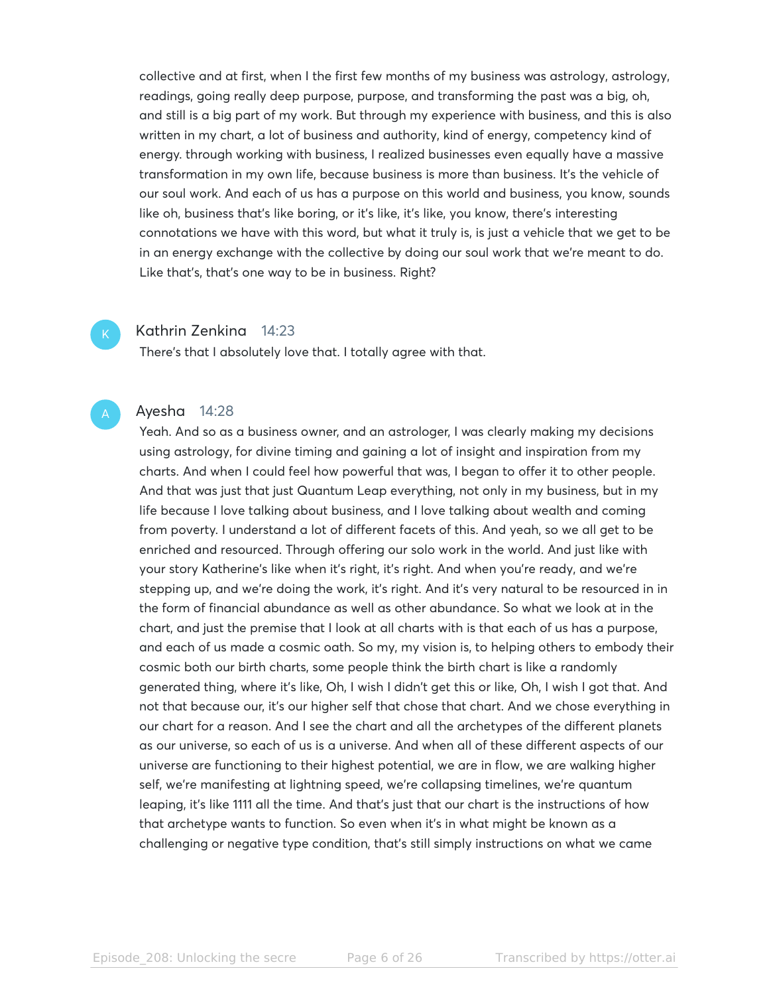collective and at first, when I the first few months of my business was astrology, astrology, readings, going really deep purpose, purpose, and transforming the past was a big, oh, and still is a big part of my work. But through my experience with business, and this is also written in my chart, a lot of business and authority, kind of energy, competency kind of energy. through working with business, I realized businesses even equally have a massive transformation in my own life, because business is more than business. It's the vehicle of our soul work. And each of us has a purpose on this world and business, you know, sounds like oh, business that's like boring, or it's like, it's like, you know, there's interesting connotations we have with this word, but what it truly is, is just a vehicle that we get to be in an energy exchange with the collective by doing our soul work that we're meant to do. Like that's, that's one way to be in business. Right?

## Kathrin Zenkina 14:23

There's that I absolutely love that. I totally agree with that.

## Ayesha 14:28

Yeah. And so as a business owner, and an astrologer, I was clearly making my decisions using astrology, for divine timing and gaining a lot of insight and inspiration from my charts. And when I could feel how powerful that was, I began to offer it to other people. And that was just that just Quantum Leap everything, not only in my business, but in my life because I love talking about business, and I love talking about wealth and coming from poverty. I understand a lot of different facets of this. And yeah, so we all get to be enriched and resourced. Through offering our solo work in the world. And just like with your story Katherine's like when it's right, it's right. And when you're ready, and we're stepping up, and we're doing the work, it's right. And it's very natural to be resourced in in the form of financial abundance as well as other abundance. So what we look at in the chart, and just the premise that I look at all charts with is that each of us has a purpose, and each of us made a cosmic oath. So my, my vision is, to helping others to embody their cosmic both our birth charts, some people think the birth chart is like a randomly generated thing, where it's like, Oh, I wish I didn't get this or like, Oh, I wish I got that. And not that because our, it's our higher self that chose that chart. And we chose everything in our chart for a reason. And I see the chart and all the archetypes of the different planets as our universe, so each of us is a universe. And when all of these different aspects of our universe are functioning to their highest potential, we are in flow, we are walking higher self, we're manifesting at lightning speed, we're collapsing timelines, we're quantum leaping, it's like 1111 all the time. And that's just that our chart is the instructions of how that archetype wants to function. So even when it's in what might be known as a challenging or negative type condition, that's still simply instructions on what we came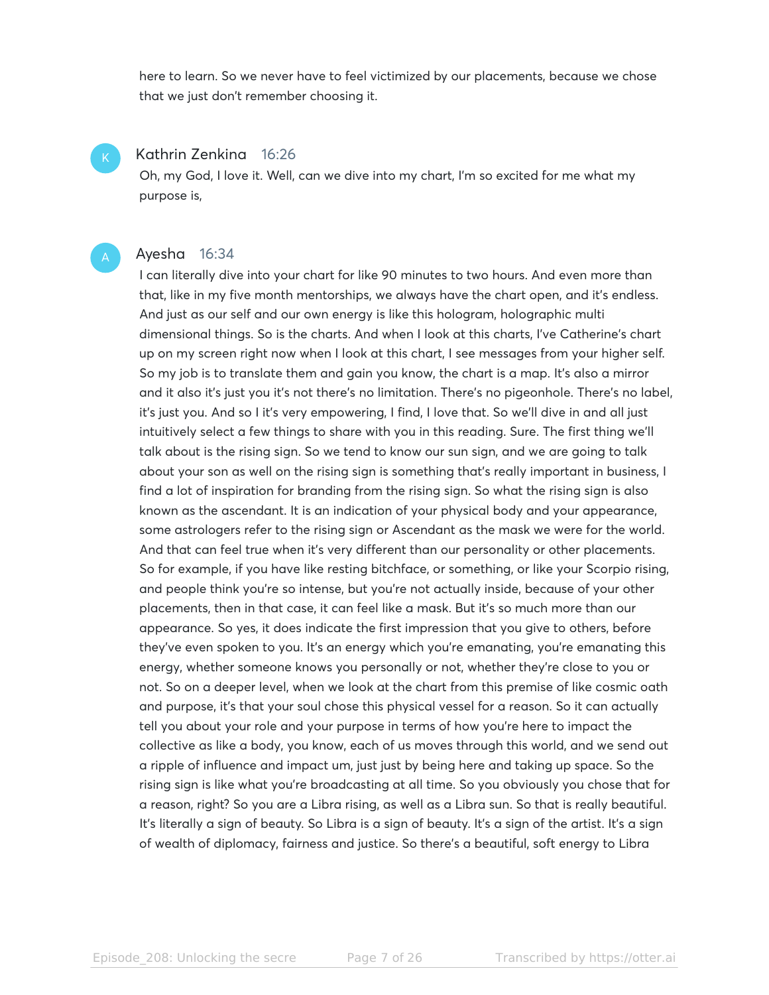here to learn. So we never have to feel victimized by our placements, because we chose that we just don't remember choosing it.

#### Kathrin Zenkina 16:26

Oh, my God, I love it. Well, can we dive into my chart, I'm so excited for me what my purpose is,

#### Ayesha 16:34

I can literally dive into your chart for like 90 minutes to two hours. And even more than that, like in my five month mentorships, we always have the chart open, and it's endless. And just as our self and our own energy is like this hologram, holographic multi dimensional things. So is the charts. And when I look at this charts, I've Catherine's chart up on my screen right now when I look at this chart, I see messages from your higher self. So my job is to translate them and gain you know, the chart is a map. It's also a mirror and it also it's just you it's not there's no limitation. There's no pigeonhole. There's no label, it's just you. And so I it's very empowering, I find, I love that. So we'll dive in and all just intuitively select a few things to share with you in this reading. Sure. The first thing we'll talk about is the rising sign. So we tend to know our sun sign, and we are going to talk about your son as well on the rising sign is something that's really important in business, I find a lot of inspiration for branding from the rising sign. So what the rising sign is also known as the ascendant. It is an indication of your physical body and your appearance, some astrologers refer to the rising sign or Ascendant as the mask we were for the world. And that can feel true when it's very different than our personality or other placements. So for example, if you have like resting bitchface, or something, or like your Scorpio rising, and people think you're so intense, but you're not actually inside, because of your other placements, then in that case, it can feel like a mask. But it's so much more than our appearance. So yes, it does indicate the first impression that you give to others, before they've even spoken to you. It's an energy which you're emanating, you're emanating this energy, whether someone knows you personally or not, whether they're close to you or not. So on a deeper level, when we look at the chart from this premise of like cosmic oath and purpose, it's that your soul chose this physical vessel for a reason. So it can actually tell you about your role and your purpose in terms of how you're here to impact the collective as like a body, you know, each of us moves through this world, and we send out a ripple of influence and impact um, just just by being here and taking up space. So the rising sign is like what you're broadcasting at all time. So you obviously you chose that for a reason, right? So you are a Libra rising, as well as a Libra sun. So that is really beautiful. It's literally a sign of beauty. So Libra is a sign of beauty. It's a sign of the artist. It's a sign of wealth of diplomacy, fairness and justice. So there's a beautiful, soft energy to Libra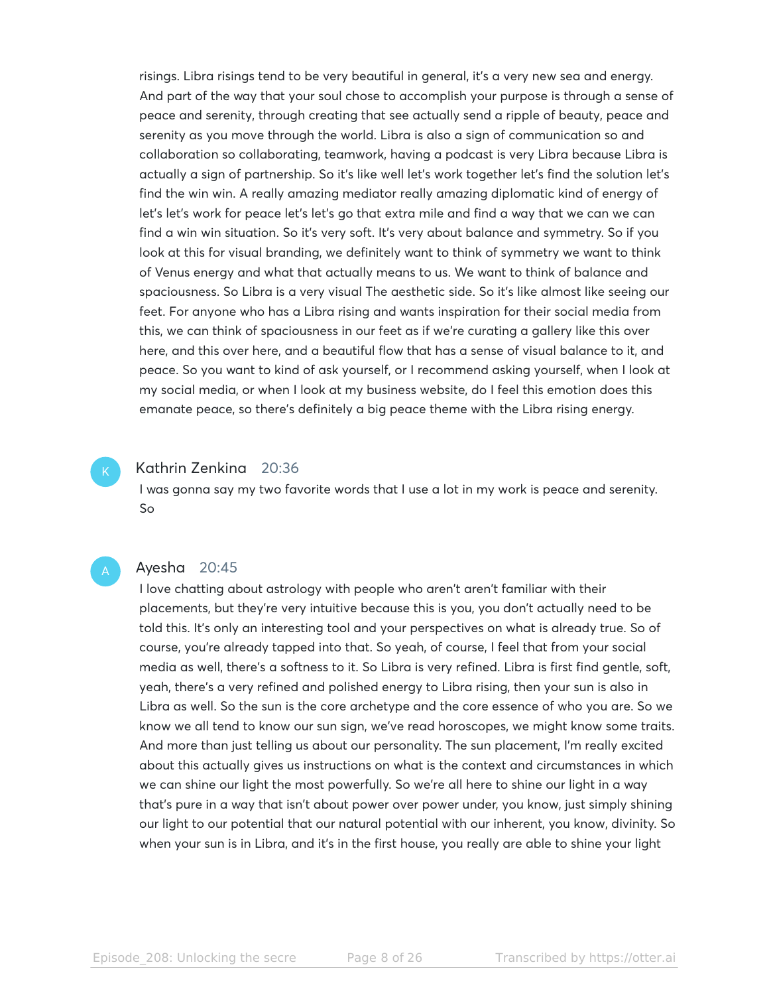risings. Libra risings tend to be very beautiful in general, it's a very new sea and energy. And part of the way that your soul chose to accomplish your purpose is through a sense of peace and serenity, through creating that see actually send a ripple of beauty, peace and serenity as you move through the world. Libra is also a sign of communication so and collaboration so collaborating, teamwork, having a podcast is very Libra because Libra is actually a sign of partnership. So it's like well let's work together let's find the solution let's find the win win. A really amazing mediator really amazing diplomatic kind of energy of let's let's work for peace let's let's go that extra mile and find a way that we can we can find a win win situation. So it's very soft. It's very about balance and symmetry. So if you look at this for visual branding, we definitely want to think of symmetry we want to think of Venus energy and what that actually means to us. We want to think of balance and spaciousness. So Libra is a very visual The aesthetic side. So it's like almost like seeing our feet. For anyone who has a Libra rising and wants inspiration for their social media from this, we can think of spaciousness in our feet as if we're curating a gallery like this over here, and this over here, and a beautiful flow that has a sense of visual balance to it, and peace. So you want to kind of ask yourself, or I recommend asking yourself, when I look at my social media, or when I look at my business website, do I feel this emotion does this emanate peace, so there's definitely a big peace theme with the Libra rising energy.

#### Kathrin Zenkina 20:36

I was gonna say my two favorite words that I use a lot in my work is peace and serenity. So

# Ayesha 20:45

I love chatting about astrology with people who aren't aren't familiar with their placements, but they're very intuitive because this is you, you don't actually need to be told this. It's only an interesting tool and your perspectives on what is already true. So of course, you're already tapped into that. So yeah, of course, I feel that from your social media as well, there's a softness to it. So Libra is very refined. Libra is first find gentle, soft, yeah, there's a very refined and polished energy to Libra rising, then your sun is also in Libra as well. So the sun is the core archetype and the core essence of who you are. So we know we all tend to know our sun sign, we've read horoscopes, we might know some traits. And more than just telling us about our personality. The sun placement, I'm really excited about this actually gives us instructions on what is the context and circumstances in which we can shine our light the most powerfully. So we're all here to shine our light in a way that's pure in a way that isn't about power over power under, you know, just simply shining our light to our potential that our natural potential with our inherent, you know, divinity. So when your sun is in Libra, and it's in the first house, you really are able to shine your light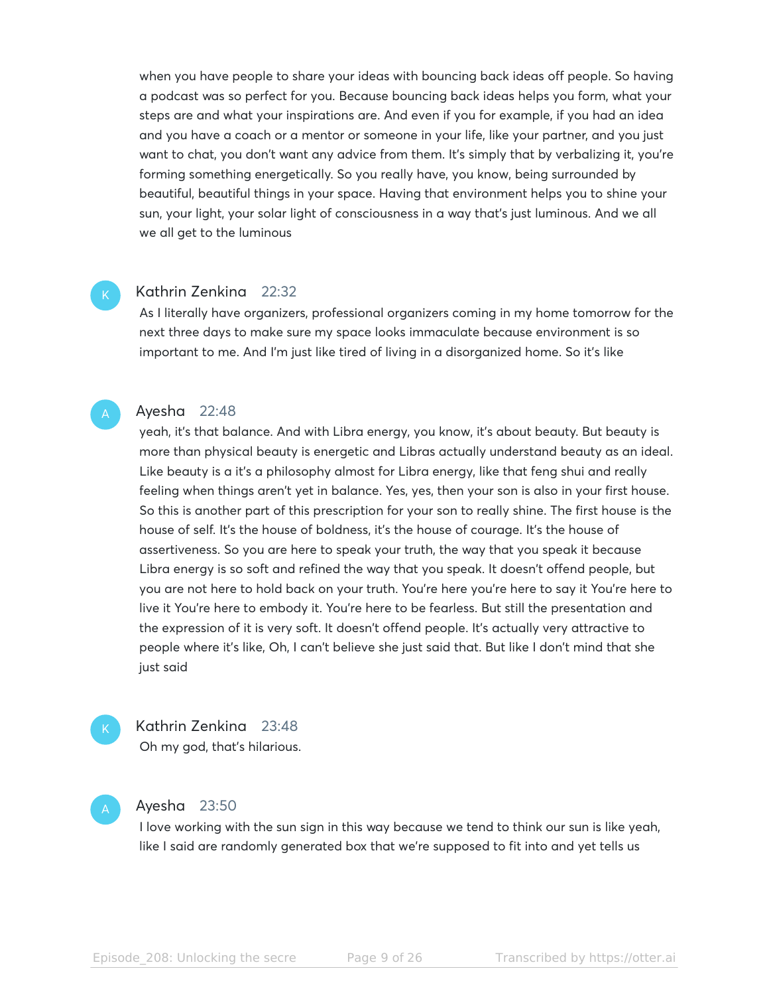when you have people to share your ideas with bouncing back ideas off people. So having a podcast was so perfect for you. Because bouncing back ideas helps you form, what your steps are and what your inspirations are. And even if you for example, if you had an idea and you have a coach or a mentor or someone in your life, like your partner, and you just want to chat, you don't want any advice from them. It's simply that by verbalizing it, you're forming something energetically. So you really have, you know, being surrounded by beautiful, beautiful things in your space. Having that environment helps you to shine your sun, your light, your solar light of consciousness in a way that's just luminous. And we all we all get to the luminous

#### Kathrin Zenkina 22:32

As I literally have organizers, professional organizers coming in my home tomorrow for the next three days to make sure my space looks immaculate because environment is so important to me. And I'm just like tired of living in a disorganized home. So it's like

#### Ayesha 22:48

yeah, it's that balance. And with Libra energy, you know, it's about beauty. But beauty is more than physical beauty is energetic and Libras actually understand beauty as an ideal. Like beauty is a it's a philosophy almost for Libra energy, like that feng shui and really feeling when things aren't yet in balance. Yes, yes, then your son is also in your first house. So this is another part of this prescription for your son to really shine. The first house is the house of self. It's the house of boldness, it's the house of courage. It's the house of assertiveness. So you are here to speak your truth, the way that you speak it because Libra energy is so soft and refined the way that you speak. It doesn't offend people, but you are not here to hold back on your truth. You're here you're here to say it You're here to live it You're here to embody it. You're here to be fearless. But still the presentation and the expression of it is very soft. It doesn't offend people. It's actually very attractive to people where it's like, Oh, I can't believe she just said that. But like I don't mind that she just said



Kathrin Zenkina 23:48 Oh my god, that's hilarious.

#### Ayesha 23:50

I love working with the sun sign in this way because we tend to think our sun is like yeah, like I said are randomly generated box that we're supposed to fit into and yet tells us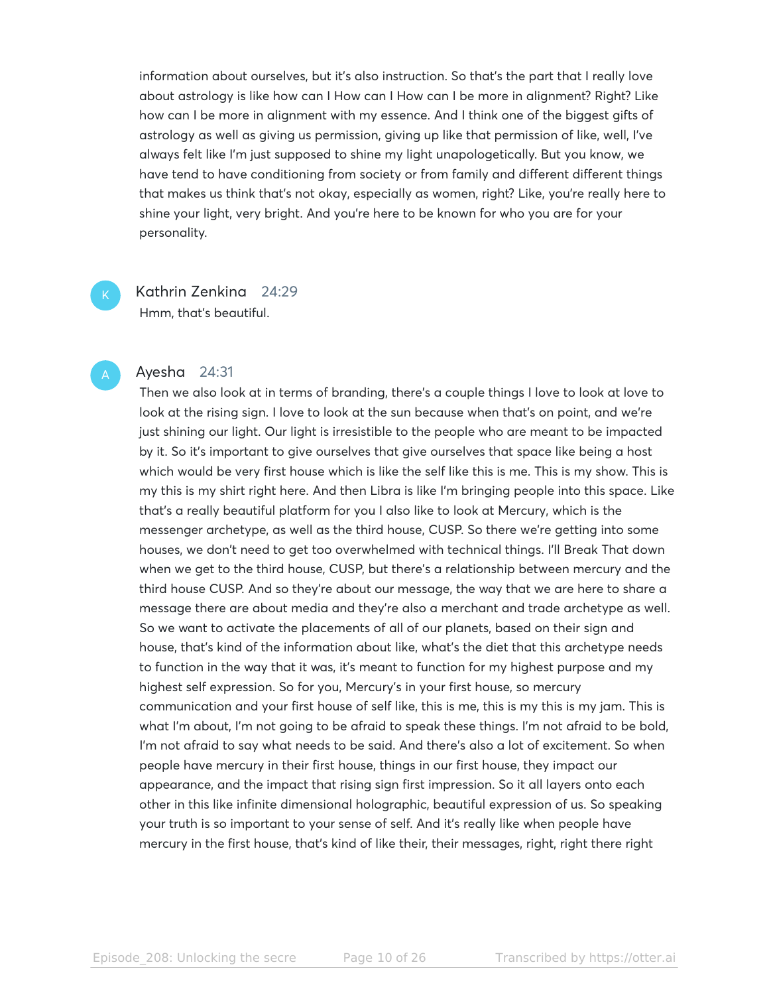information about ourselves, but it's also instruction. So that's the part that I really love about astrology is like how can I How can I How can I be more in alignment? Right? Like how can I be more in alignment with my essence. And I think one of the biggest gifts of astrology as well as giving us permission, giving up like that permission of like, well, I've always felt like I'm just supposed to shine my light unapologetically. But you know, we have tend to have conditioning from society or from family and different different things that makes us think that's not okay, especially as women, right? Like, you're really here to shine your light, very bright. And you're here to be known for who you are for your personality.

Kathrin Zenkina 24:29 Hmm, that's beautiful.

### Ayesha 24:31

Then we also look at in terms of branding, there's a couple things I love to look at love to look at the rising sign. I love to look at the sun because when that's on point, and we're just shining our light. Our light is irresistible to the people who are meant to be impacted by it. So it's important to give ourselves that give ourselves that space like being a host which would be very first house which is like the self like this is me. This is my show. This is my this is my shirt right here. And then Libra is like I'm bringing people into this space. Like that's a really beautiful platform for you I also like to look at Mercury, which is the messenger archetype, as well as the third house, CUSP. So there we're getting into some houses, we don't need to get too overwhelmed with technical things. I'll Break That down when we get to the third house, CUSP, but there's a relationship between mercury and the third house CUSP. And so they're about our message, the way that we are here to share a message there are about media and they're also a merchant and trade archetype as well. So we want to activate the placements of all of our planets, based on their sign and house, that's kind of the information about like, what's the diet that this archetype needs to function in the way that it was, it's meant to function for my highest purpose and my highest self expression. So for you, Mercury's in your first house, so mercury communication and your first house of self like, this is me, this is my this is my jam. This is what I'm about, I'm not going to be afraid to speak these things. I'm not afraid to be bold, I'm not afraid to say what needs to be said. And there's also a lot of excitement. So when people have mercury in their first house, things in our first house, they impact our appearance, and the impact that rising sign first impression. So it all layers onto each other in this like infinite dimensional holographic, beautiful expression of us. So speaking your truth is so important to your sense of self. And it's really like when people have mercury in the first house, that's kind of like their, their messages, right, right there right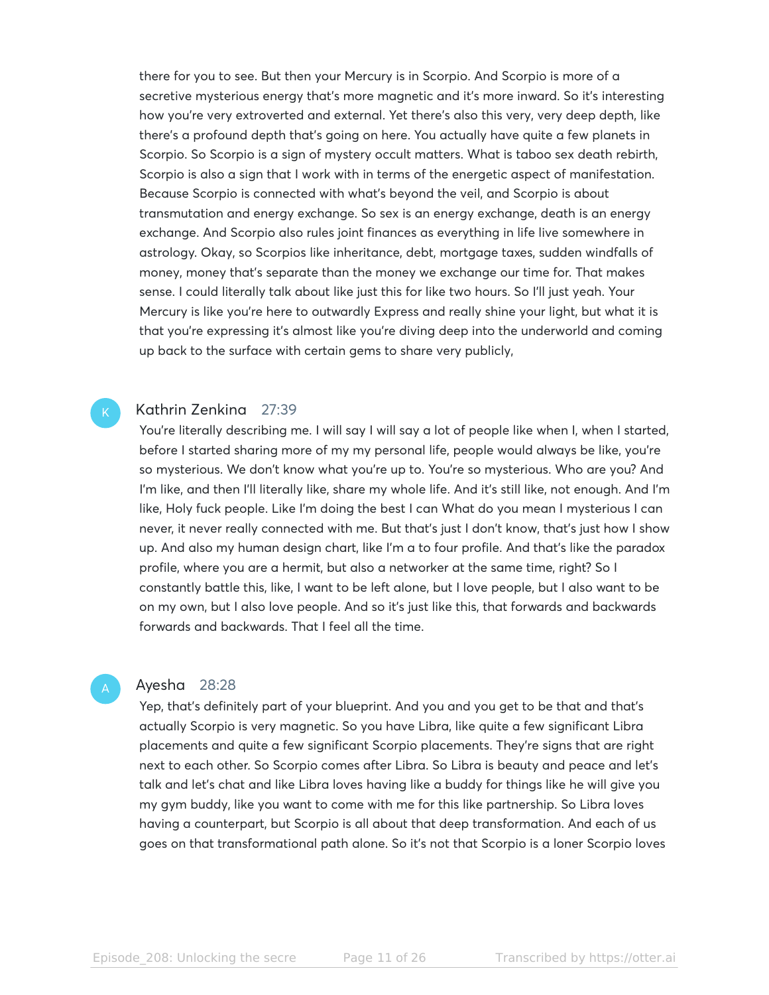there for you to see. But then your Mercury is in Scorpio. And Scorpio is more of a secretive mysterious energy that's more magnetic and it's more inward. So it's interesting how you're very extroverted and external. Yet there's also this very, very deep depth, like there's a profound depth that's going on here. You actually have quite a few planets in Scorpio. So Scorpio is a sign of mystery occult matters. What is taboo sex death rebirth, Scorpio is also a sign that I work with in terms of the energetic aspect of manifestation. Because Scorpio is connected with what's beyond the veil, and Scorpio is about transmutation and energy exchange. So sex is an energy exchange, death is an energy exchange. And Scorpio also rules joint finances as everything in life live somewhere in astrology. Okay, so Scorpios like inheritance, debt, mortgage taxes, sudden windfalls of money, money that's separate than the money we exchange our time for. That makes sense. I could literally talk about like just this for like two hours. So I'll just yeah. Your Mercury is like you're here to outwardly Express and really shine your light, but what it is that you're expressing it's almost like you're diving deep into the underworld and coming up back to the surface with certain gems to share very publicly,

# Kathrin Zenkina 27:39

You're literally describing me. I will say I will say a lot of people like when I, when I started, before I started sharing more of my my personal life, people would always be like, you're so mysterious. We don't know what you're up to. You're so mysterious. Who are you? And I'm like, and then I'll literally like, share my whole life. And it's still like, not enough. And I'm like, Holy fuck people. Like I'm doing the best I can What do you mean I mysterious I can never, it never really connected with me. But that's just I don't know, that's just how I show up. And also my human design chart, like I'm a to four profile. And that's like the paradox profile, where you are a hermit, but also a networker at the same time, right? So I constantly battle this, like, I want to be left alone, but I love people, but I also want to be on my own, but I also love people. And so it's just like this, that forwards and backwards forwards and backwards. That I feel all the time.

#### Ayesha 28:28

Yep, that's definitely part of your blueprint. And you and you get to be that and that's actually Scorpio is very magnetic. So you have Libra, like quite a few significant Libra placements and quite a few significant Scorpio placements. They're signs that are right next to each other. So Scorpio comes after Libra. So Libra is beauty and peace and let's talk and let's chat and like Libra loves having like a buddy for things like he will give you my gym buddy, like you want to come with me for this like partnership. So Libra loves having a counterpart, but Scorpio is all about that deep transformation. And each of us goes on that transformational path alone. So it's not that Scorpio is a loner Scorpio loves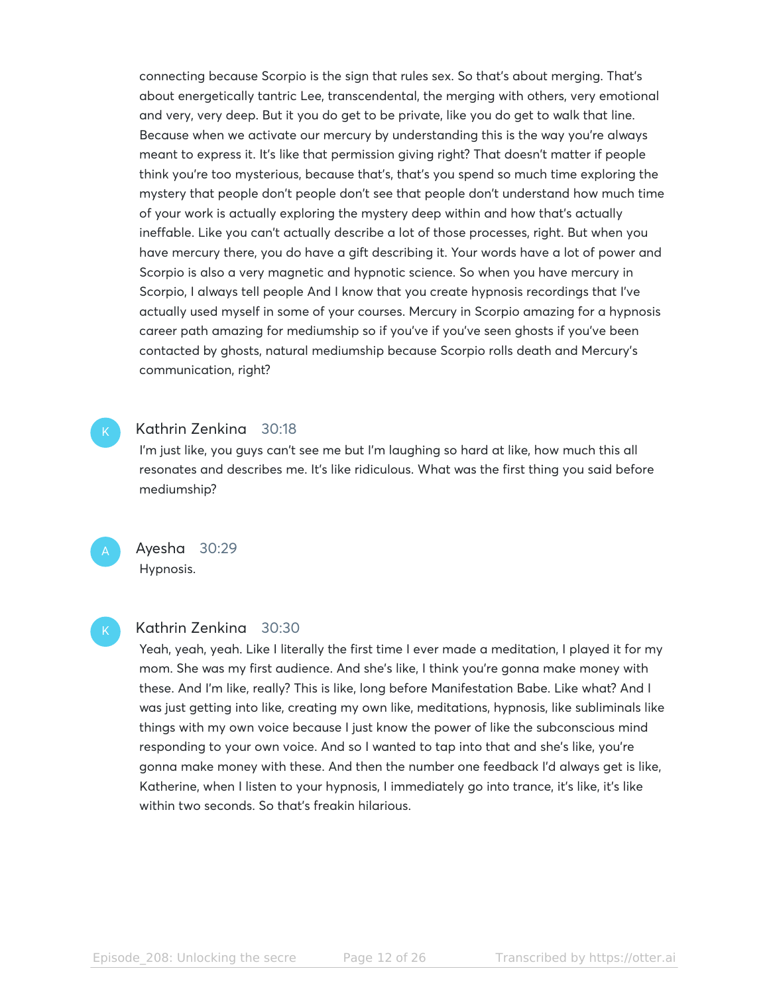connecting because Scorpio is the sign that rules sex. So that's about merging. That's about energetically tantric Lee, transcendental, the merging with others, very emotional and very, very deep. But it you do get to be private, like you do get to walk that line. Because when we activate our mercury by understanding this is the way you're always meant to express it. It's like that permission giving right? That doesn't matter if people think you're too mysterious, because that's, that's you spend so much time exploring the mystery that people don't people don't see that people don't understand how much time of your work is actually exploring the mystery deep within and how that's actually ineffable. Like you can't actually describe a lot of those processes, right. But when you have mercury there, you do have a gift describing it. Your words have a lot of power and Scorpio is also a very magnetic and hypnotic science. So when you have mercury in Scorpio, I always tell people And I know that you create hypnosis recordings that I've actually used myself in some of your courses. Mercury in Scorpio amazing for a hypnosis career path amazing for mediumship so if you've if you've seen ghosts if you've been contacted by ghosts, natural mediumship because Scorpio rolls death and Mercury's communication, right?

# Kathrin Zenkina 30:18

I'm just like, you guys can't see me but I'm laughing so hard at like, how much this all resonates and describes me. It's like ridiculous. What was the first thing you said before mediumship?

Ayesha 30:29 Hypnosis.

# Kathrin Zenkina 30:30

Yeah, yeah, yeah. Like I literally the first time I ever made a meditation, I played it for my mom. She was my first audience. And she's like, I think you're gonna make money with these. And I'm like, really? This is like, long before Manifestation Babe. Like what? And I was just getting into like, creating my own like, meditations, hypnosis, like subliminals like things with my own voice because I just know the power of like the subconscious mind responding to your own voice. And so I wanted to tap into that and she's like, you're gonna make money with these. And then the number one feedback I'd always get is like, Katherine, when I listen to your hypnosis, I immediately go into trance, it's like, it's like within two seconds. So that's freakin hilarious.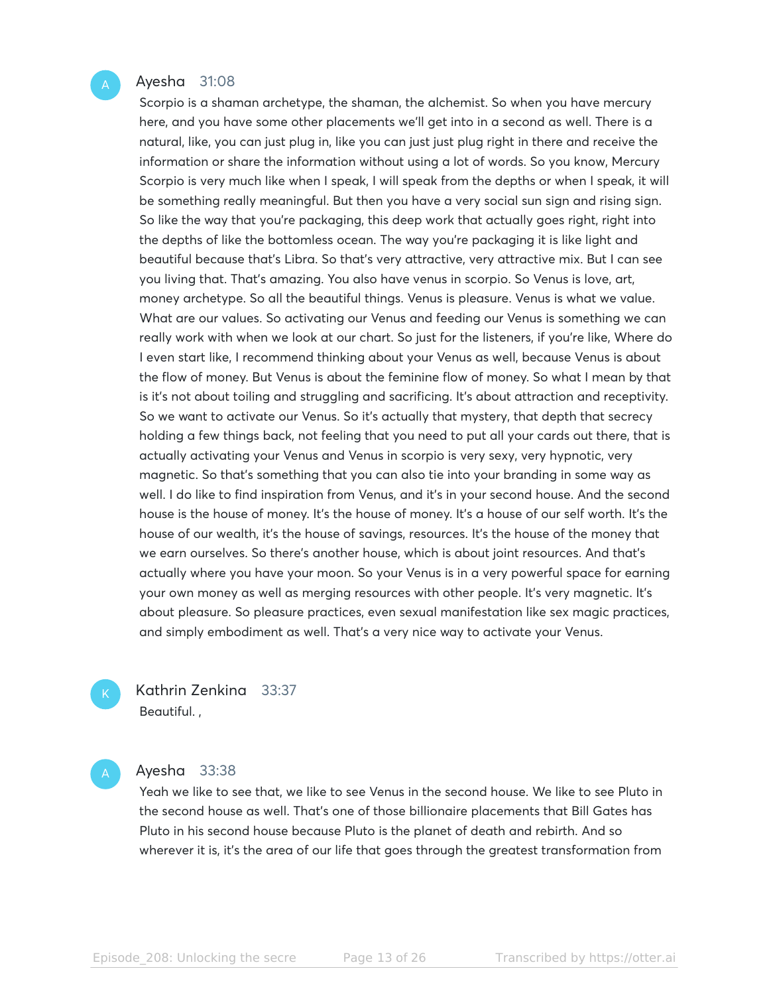#### Ayesha 31:08

Scorpio is a shaman archetype, the shaman, the alchemist. So when you have mercury here, and you have some other placements we'll get into in a second as well. There is a natural, like, you can just plug in, like you can just just plug right in there and receive the information or share the information without using a lot of words. So you know, Mercury Scorpio is very much like when I speak, I will speak from the depths or when I speak, it will be something really meaningful. But then you have a very social sun sign and rising sign. So like the way that you're packaging, this deep work that actually goes right, right into the depths of like the bottomless ocean. The way you're packaging it is like light and beautiful because that's Libra. So that's very attractive, very attractive mix. But I can see you living that. That's amazing. You also have venus in scorpio. So Venus is love, art, money archetype. So all the beautiful things. Venus is pleasure. Venus is what we value. What are our values. So activating our Venus and feeding our Venus is something we can really work with when we look at our chart. So just for the listeners, if you're like, Where do I even start like, I recommend thinking about your Venus as well, because Venus is about the flow of money. But Venus is about the feminine flow of money. So what I mean by that is it's not about toiling and struggling and sacrificing. It's about attraction and receptivity. So we want to activate our Venus. So it's actually that mystery, that depth that secrecy holding a few things back, not feeling that you need to put all your cards out there, that is actually activating your Venus and Venus in scorpio is very sexy, very hypnotic, very magnetic. So that's something that you can also tie into your branding in some way as well. I do like to find inspiration from Venus, and it's in your second house. And the second house is the house of money. It's the house of money. It's a house of our self worth. It's the house of our wealth, it's the house of savings, resources. It's the house of the money that we earn ourselves. So there's another house, which is about joint resources. And that's actually where you have your moon. So your Venus is in a very powerful space for earning your own money as well as merging resources with other people. It's very magnetic. It's about pleasure. So pleasure practices, even sexual manifestation like sex magic practices, and simply embodiment as well. That's a very nice way to activate your Venus.

Kathrin Zenkina 33:37 Beautiful. ,

### Ayesha 33:38

Yeah we like to see that, we like to see Venus in the second house. We like to see Pluto in the second house as well. That's one of those billionaire placements that Bill Gates has Pluto in his second house because Pluto is the planet of death and rebirth. And so wherever it is, it's the area of our life that goes through the greatest transformation from

Episode 208: Unlocking the secre Page 13 of 26 Transcribed by https://otter.ai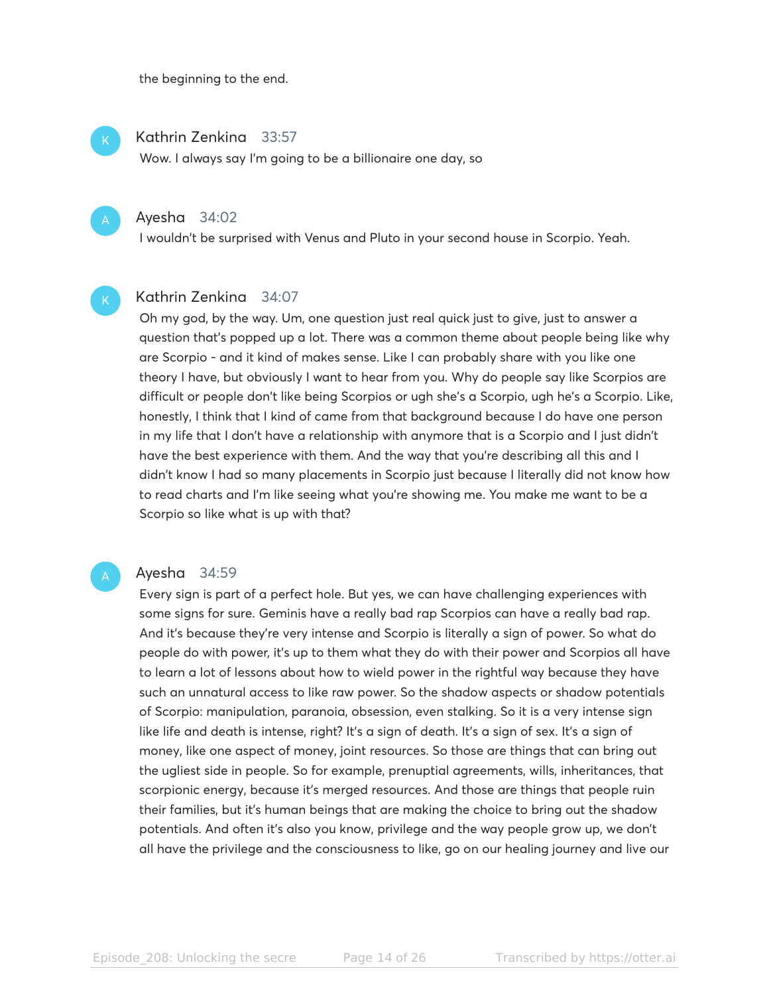the beginning to the end.

### Kathrin Zenkina 33:57

Wow. I always say I'm going to be a billionaire one day, so

# Ayesha 34:02

I wouldn't be surprised with Venus and Pluto in your second house in Scorpio. Yeah.

# Kathrin Zenkina 34:07

Oh my god, by the way. Um, one question just real quick just to give, just to answer a question that's popped up a lot. There was a common theme about people being like why are Scorpio - and it kind of makes sense. Like I can probably share with you like one theory I have, but obviously I want to hear from you. Why do people say like Scorpios are difficult or people don't like being Scorpios or ugh she's a Scorpio, ugh he's a Scorpio. Like, honestly, I think that I kind of came from that background because I do have one person in my life that I don't have a relationship with anymore that is a Scorpio and I just didn't have the best experience with them. And the way that you're describing all this and I didn't know I had so many placements in Scorpio just because I literally did not know how to read charts and I'm like seeing what you're showing me. You make me want to be a Scorpio so like what is up with that?

#### Ayesha 34:59

Every sign is part of a perfect hole. But yes, we can have challenging experiences with some signs for sure. Geminis have a really bad rap Scorpios can have a really bad rap. And it's because they're very intense and Scorpio is literally a sign of power. So what do people do with power, it's up to them what they do with their power and Scorpios all have to learn a lot of lessons about how to wield power in the rightful way because they have such an unnatural access to like raw power. So the shadow aspects or shadow potentials of Scorpio: manipulation, paranoia, obsession, even stalking. So it is a very intense sign like life and death is intense, right? It's a sign of death. It's a sign of sex. It's a sign of money, like one aspect of money, joint resources. So those are things that can bring out the ugliest side in people. So for example, prenuptial agreements, wills, inheritances, that scorpionic energy, because it's merged resources. And those are things that people ruin their families, but it's human beings that are making the choice to bring out the shadow potentials. And often it's also you know, privilege and the way people grow up, we don't all have the privilege and the consciousness to like, go on our healing journey and live our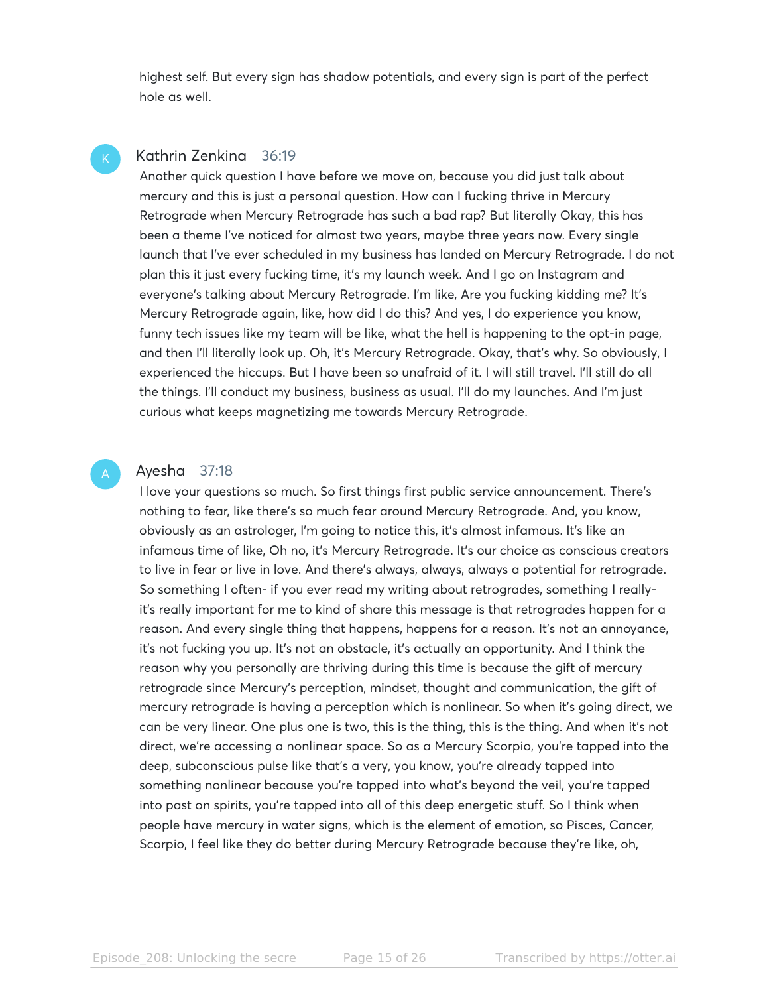highest self. But every sign has shadow potentials, and every sign is part of the perfect hole as well.

# Kathrin Zenkina 36:19

Another quick question I have before we move on, because you did just talk about mercury and this is just a personal question. How can I fucking thrive in Mercury Retrograde when Mercury Retrograde has such a bad rap? But literally Okay, this has been a theme I've noticed for almost two years, maybe three years now. Every single launch that I've ever scheduled in my business has landed on Mercury Retrograde. I do not plan this it just every fucking time, it's my launch week. And I go on Instagram and everyone's talking about Mercury Retrograde. I'm like, Are you fucking kidding me? It's Mercury Retrograde again, like, how did I do this? And yes, I do experience you know, funny tech issues like my team will be like, what the hell is happening to the opt-in page, and then I'll literally look up. Oh, it's Mercury Retrograde. Okay, that's why. So obviously, I experienced the hiccups. But I have been so unafraid of it. I will still travel. I'll still do all the things. I'll conduct my business, business as usual. I'll do my launches. And I'm just curious what keeps magnetizing me towards Mercury Retrograde.

#### Ayesha 37:18

I love your questions so much. So first things first public service announcement. There's nothing to fear, like there's so much fear around Mercury Retrograde. And, you know, obviously as an astrologer, I'm going to notice this, it's almost infamous. It's like an infamous time of like, Oh no, it's Mercury Retrograde. It's our choice as conscious creators to live in fear or live in love. And there's always, always, always a potential for retrograde. So something I often- if you ever read my writing about retrogrades, something I reallyit's really important for me to kind of share this message is that retrogrades happen for a reason. And every single thing that happens, happens for a reason. It's not an annoyance, it's not fucking you up. It's not an obstacle, it's actually an opportunity. And I think the reason why you personally are thriving during this time is because the gift of mercury retrograde since Mercury's perception, mindset, thought and communication, the gift of mercury retrograde is having a perception which is nonlinear. So when it's going direct, we can be very linear. One plus one is two, this is the thing, this is the thing. And when it's not direct, we're accessing a nonlinear space. So as a Mercury Scorpio, you're tapped into the deep, subconscious pulse like that's a very, you know, you're already tapped into something nonlinear because you're tapped into what's beyond the veil, you're tapped into past on spirits, you're tapped into all of this deep energetic stuff. So I think when people have mercury in water signs, which is the element of emotion, so Pisces, Cancer, Scorpio, I feel like they do better during Mercury Retrograde because they're like, oh,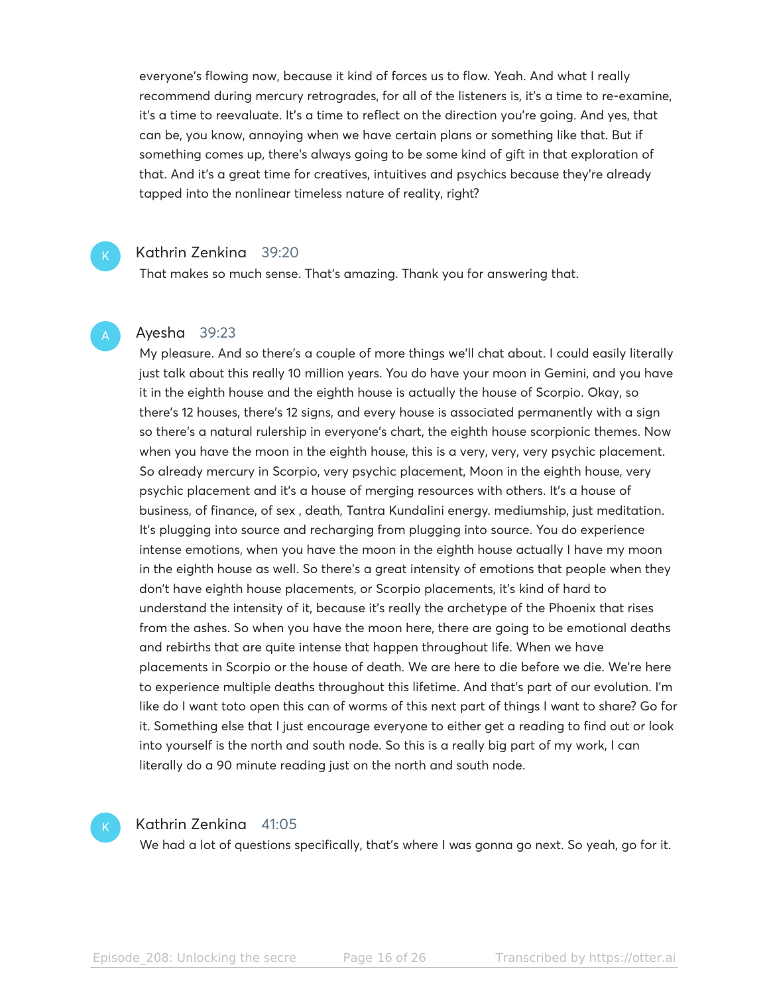everyone's flowing now, because it kind of forces us to flow. Yeah. And what I really recommend during mercury retrogrades, for all of the listeners is, it's a time to re-examine, it's a time to reevaluate. It's a time to reflect on the direction you're going. And yes, that can be, you know, annoying when we have certain plans or something like that. But if something comes up, there's always going to be some kind of gift in that exploration of that. And it's a great time for creatives, intuitives and psychics because they're already tapped into the nonlinear timeless nature of reality, right?

#### Kathrin Zenkina 39:20

That makes so much sense. That's amazing. Thank you for answering that.

#### Ayesha 39:23

My pleasure. And so there's a couple of more things we'll chat about. I could easily literally just talk about this really 10 million years. You do have your moon in Gemini, and you have it in the eighth house and the eighth house is actually the house of Scorpio. Okay, so there's 12 houses, there's 12 signs, and every house is associated permanently with a sign so there's a natural rulership in everyone's chart, the eighth house scorpionic themes. Now when you have the moon in the eighth house, this is a very, very, very psychic placement. So already mercury in Scorpio, very psychic placement, Moon in the eighth house, very psychic placement and it's a house of merging resources with others. It's a house of business, of finance, of sex , death, Tantra Kundalini energy. mediumship, just meditation. It's plugging into source and recharging from plugging into source. You do experience intense emotions, when you have the moon in the eighth house actually I have my moon in the eighth house as well. So there's a great intensity of emotions that people when they don't have eighth house placements, or Scorpio placements, it's kind of hard to understand the intensity of it, because it's really the archetype of the Phoenix that rises from the ashes. So when you have the moon here, there are going to be emotional deaths and rebirths that are quite intense that happen throughout life. When we have placements in Scorpio or the house of death. We are here to die before we die. We're here to experience multiple deaths throughout this lifetime. And that's part of our evolution. I'm like do I want toto open this can of worms of this next part of things I want to share? Go for it. Something else that I just encourage everyone to either get a reading to find out or look into yourself is the north and south node. So this is a really big part of my work, I can literally do a 90 minute reading just on the north and south node.



#### Kathrin Zenkina 41:05

We had a lot of questions specifically, that's where I was gonna go next. So yeah, go for it.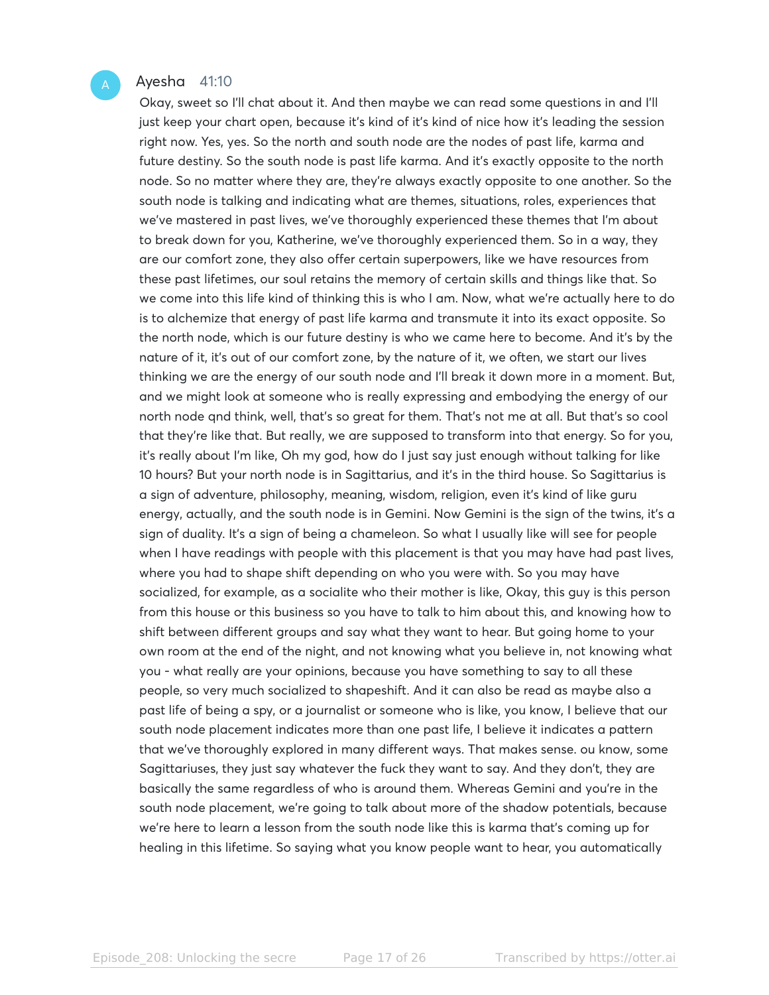#### Ayesha 41:10

Okay, sweet so I'll chat about it. And then maybe we can read some questions in and I'll just keep your chart open, because it's kind of it's kind of nice how it's leading the session right now. Yes, yes. So the north and south node are the nodes of past life, karma and future destiny. So the south node is past life karma. And it's exactly opposite to the north node. So no matter where they are, they're always exactly opposite to one another. So the south node is talking and indicating what are themes, situations, roles, experiences that we've mastered in past lives, we've thoroughly experienced these themes that I'm about to break down for you, Katherine, we've thoroughly experienced them. So in a way, they are our comfort zone, they also offer certain superpowers, like we have resources from these past lifetimes, our soul retains the memory of certain skills and things like that. So we come into this life kind of thinking this is who I am. Now, what we're actually here to do is to alchemize that energy of past life karma and transmute it into its exact opposite. So the north node, which is our future destiny is who we came here to become. And it's by the nature of it, it's out of our comfort zone, by the nature of it, we often, we start our lives thinking we are the energy of our south node and I'll break it down more in a moment. But, and we might look at someone who is really expressing and embodying the energy of our north node qnd think, well, that's so great for them. That's not me at all. But that's so cool that they're like that. But really, we are supposed to transform into that energy. So for you, it's really about I'm like, Oh my god, how do I just say just enough without talking for like 10 hours? But your north node is in Sagittarius, and it's in the third house. So Sagittarius is a sign of adventure, philosophy, meaning, wisdom, religion, even it's kind of like guru energy, actually, and the south node is in Gemini. Now Gemini is the sign of the twins, it's a sign of duality. It's a sign of being a chameleon. So what I usually like will see for people when I have readings with people with this placement is that you may have had past lives, where you had to shape shift depending on who you were with. So you may have socialized, for example, as a socialite who their mother is like, Okay, this guy is this person from this house or this business so you have to talk to him about this, and knowing how to shift between different groups and say what they want to hear. But going home to your own room at the end of the night, and not knowing what you believe in, not knowing what you - what really are your opinions, because you have something to say to all these people, so very much socialized to shapeshift. And it can also be read as maybe also a past life of being a spy, or a journalist or someone who is like, you know, I believe that our south node placement indicates more than one past life, I believe it indicates a pattern that we've thoroughly explored in many different ways. That makes sense. ou know, some Sagittariuses, they just say whatever the fuck they want to say. And they don't, they are basically the same regardless of who is around them. Whereas Gemini and you're in the south node placement, we're going to talk about more of the shadow potentials, because we're here to learn a lesson from the south node like this is karma that's coming up for healing in this lifetime. So saying what you know people want to hear, you automatically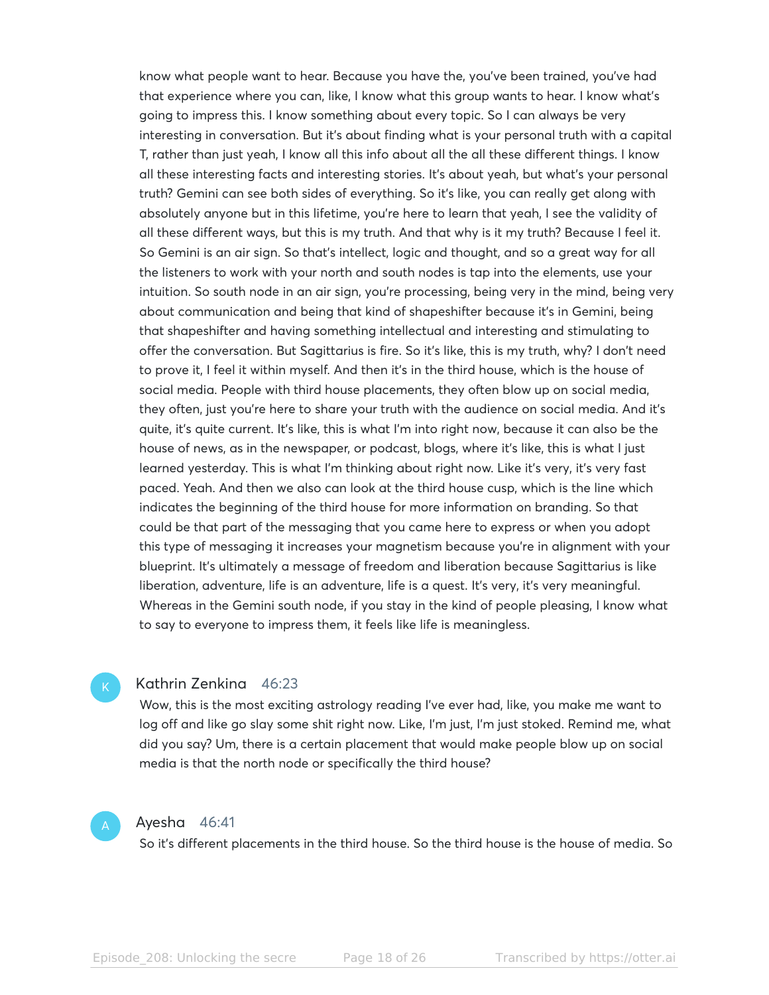know what people want to hear. Because you have the, you've been trained, you've had that experience where you can, like, I know what this group wants to hear. I know what's going to impress this. I know something about every topic. So I can always be very interesting in conversation. But it's about finding what is your personal truth with a capital T, rather than just yeah, I know all this info about all the all these different things. I know all these interesting facts and interesting stories. It's about yeah, but what's your personal truth? Gemini can see both sides of everything. So it's like, you can really get along with absolutely anyone but in this lifetime, you're here to learn that yeah, I see the validity of all these different ways, but this is my truth. And that why is it my truth? Because I feel it. So Gemini is an air sign. So that's intellect, logic and thought, and so a great way for all the listeners to work with your north and south nodes is tap into the elements, use your intuition. So south node in an air sign, you're processing, being very in the mind, being very about communication and being that kind of shapeshifter because it's in Gemini, being that shapeshifter and having something intellectual and interesting and stimulating to offer the conversation. But Sagittarius is fire. So it's like, this is my truth, why? I don't need to prove it, I feel it within myself. And then it's in the third house, which is the house of social media. People with third house placements, they often blow up on social media, they often, just you're here to share your truth with the audience on social media. And it's quite, it's quite current. It's like, this is what I'm into right now, because it can also be the house of news, as in the newspaper, or podcast, blogs, where it's like, this is what I just learned yesterday. This is what I'm thinking about right now. Like it's very, it's very fast paced. Yeah. And then we also can look at the third house cusp, which is the line which indicates the beginning of the third house for more information on branding. So that could be that part of the messaging that you came here to express or when you adopt this type of messaging it increases your magnetism because you're in alignment with your blueprint. It's ultimately a message of freedom and liberation because Sagittarius is like liberation, adventure, life is an adventure, life is a quest. It's very, it's very meaningful. Whereas in the Gemini south node, if you stay in the kind of people pleasing, I know what to say to everyone to impress them, it feels like life is meaningless.

#### Kathrin Zenkina 46:23

Wow, this is the most exciting astrology reading I've ever had, like, you make me want to log off and like go slay some shit right now. Like, I'm just, I'm just stoked. Remind me, what did you say? Um, there is a certain placement that would make people blow up on social media is that the north node or specifically the third house?



#### Ayesha 46:41

So it's different placements in the third house. So the third house is the house of media. So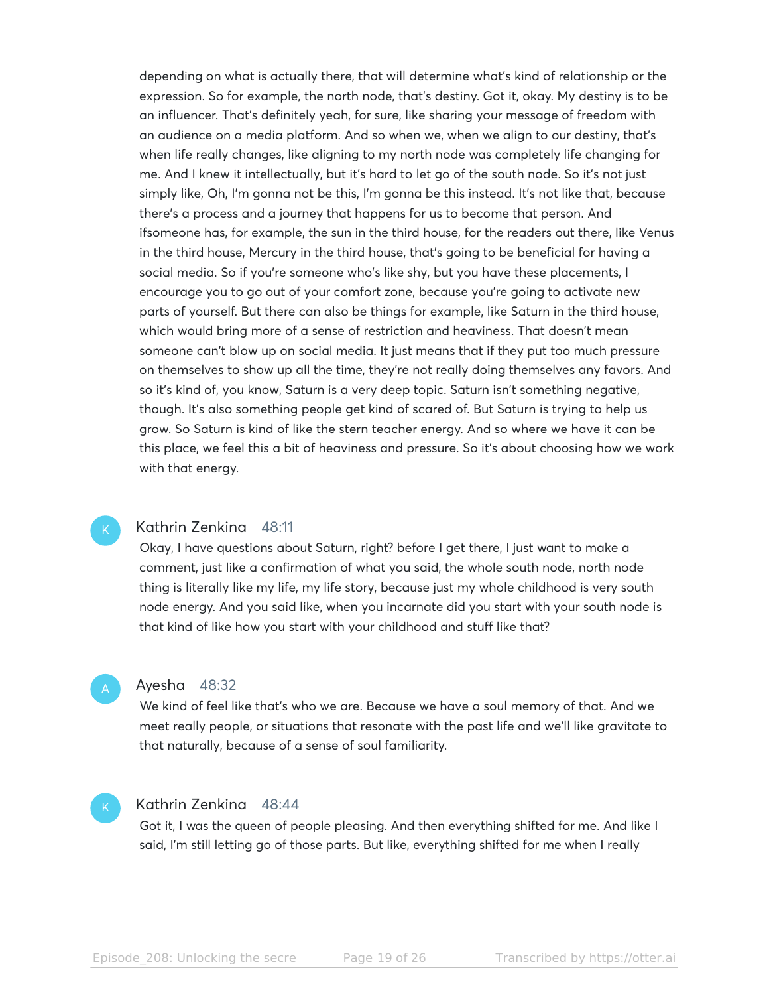depending on what is actually there, that will determine what's kind of relationship or the expression. So for example, the north node, that's destiny. Got it, okay. My destiny is to be an influencer. That's definitely yeah, for sure, like sharing your message of freedom with an audience on a media platform. And so when we, when we align to our destiny, that's when life really changes, like aligning to my north node was completely life changing for me. And I knew it intellectually, but it's hard to let go of the south node. So it's not just simply like, Oh, I'm gonna not be this, I'm gonna be this instead. It's not like that, because there's a process and a journey that happens for us to become that person. And ifsomeone has, for example, the sun in the third house, for the readers out there, like Venus in the third house, Mercury in the third house, that's going to be beneficial for having a social media. So if you're someone who's like shy, but you have these placements, I encourage you to go out of your comfort zone, because you're going to activate new parts of yourself. But there can also be things for example, like Saturn in the third house, which would bring more of a sense of restriction and heaviness. That doesn't mean someone can't blow up on social media. It just means that if they put too much pressure on themselves to show up all the time, they're not really doing themselves any favors. And so it's kind of, you know, Saturn is a very deep topic. Saturn isn't something negative, though. It's also something people get kind of scared of. But Saturn is trying to help us grow. So Saturn is kind of like the stern teacher energy. And so where we have it can be this place, we feel this a bit of heaviness and pressure. So it's about choosing how we work with that energy.

#### Kathrin Zenkina 48:11

Okay, I have questions about Saturn, right? before I get there, I just want to make a comment, just like a confirmation of what you said, the whole south node, north node thing is literally like my life, my life story, because just my whole childhood is very south node energy. And you said like, when you incarnate did you start with your south node is that kind of like how you start with your childhood and stuff like that?

#### Ayesha 48:32

We kind of feel like that's who we are. Because we have a soul memory of that. And we meet really people, or situations that resonate with the past life and we'll like gravitate to that naturally, because of a sense of soul familiarity.

# Kathrin Zenkina 48:44

Got it, I was the queen of people pleasing. And then everything shifted for me. And like I said, I'm still letting go of those parts. But like, everything shifted for me when I really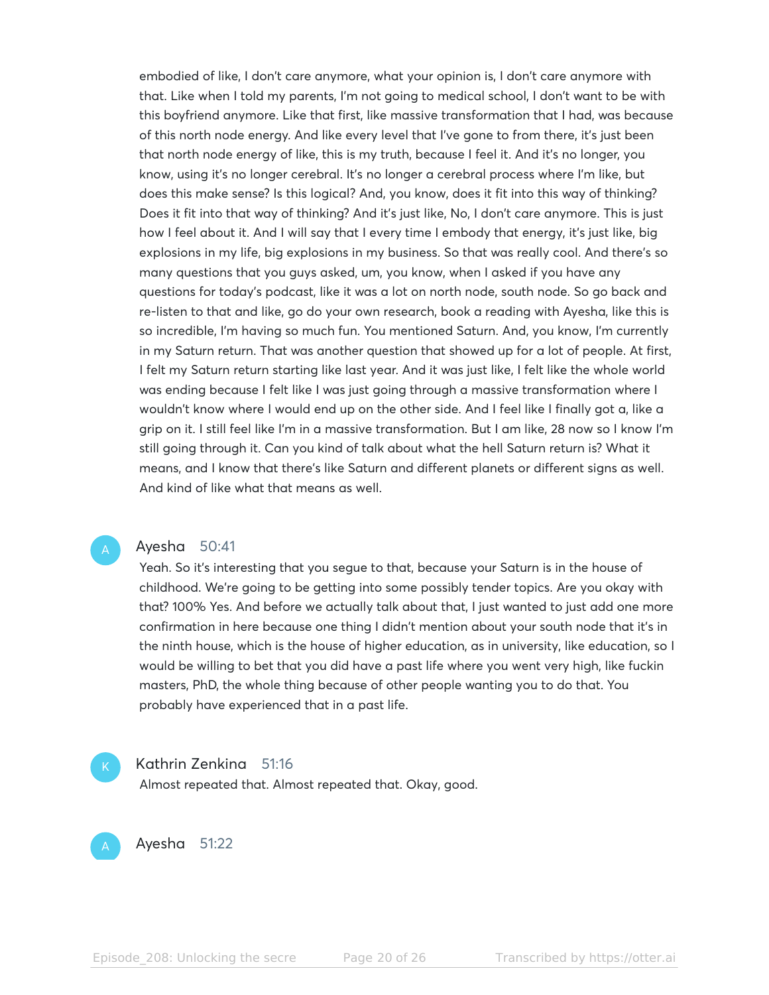embodied of like, I don't care anymore, what your opinion is, I don't care anymore with that. Like when I told my parents, I'm not going to medical school, I don't want to be with this boyfriend anymore. Like that first, like massive transformation that I had, was because of this north node energy. And like every level that I've gone to from there, it's just been that north node energy of like, this is my truth, because I feel it. And it's no longer, you know, using it's no longer cerebral. It's no longer a cerebral process where I'm like, but does this make sense? Is this logical? And, you know, does it fit into this way of thinking? Does it fit into that way of thinking? And it's just like, No, I don't care anymore. This is just how I feel about it. And I will say that I every time I embody that energy, it's just like, big explosions in my life, big explosions in my business. So that was really cool. And there's so many questions that you guys asked, um, you know, when I asked if you have any questions for today's podcast, like it was a lot on north node, south node. So go back and re-listen to that and like, go do your own research, book a reading with Ayesha, like this is so incredible, I'm having so much fun. You mentioned Saturn. And, you know, I'm currently in my Saturn return. That was another question that showed up for a lot of people. At first, I felt my Saturn return starting like last year. And it was just like, I felt like the whole world was ending because I felt like I was just going through a massive transformation where I wouldn't know where I would end up on the other side. And I feel like I finally got a, like a grip on it. I still feel like I'm in a massive transformation. But I am like, 28 now so I know I'm still going through it. Can you kind of talk about what the hell Saturn return is? What it means, and I know that there's like Saturn and different planets or different signs as well. And kind of like what that means as well.

### Ayesha 50:41

Yeah. So it's interesting that you segue to that, because your Saturn is in the house of childhood. We're going to be getting into some possibly tender topics. Are you okay with that? 100% Yes. And before we actually talk about that, I just wanted to just add one more confirmation in here because one thing I didn't mention about your south node that it's in the ninth house, which is the house of higher education, as in university, like education, so I would be willing to bet that you did have a past life where you went very high, like fuckin masters, PhD, the whole thing because of other people wanting you to do that. You probably have experienced that in a past life.



#### Kathrin Zenkina 51:16

Almost repeated that. Almost repeated that. Okay, good.

Ayesha 51:22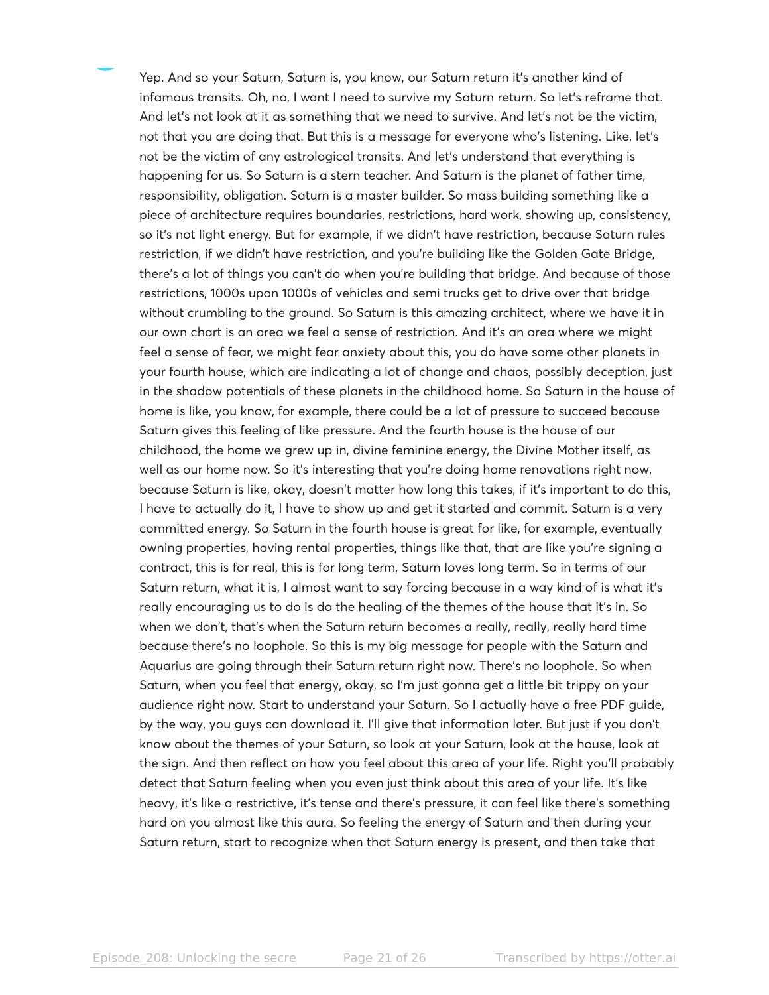Yep. And so your Saturn, Saturn is, you know, our Saturn return it's another kind of infamous transits. Oh, no, I want I need to survive my Saturn return. So let's reframe that. And let's not look at it as something that we need to survive. And let's not be the victim, not that you are doing that. But this is a message for everyone who's listening. Like, let's not be the victim of any astrological transits. And let's understand that everything is happening for us. So Saturn is a stern teacher. And Saturn is the planet of father time, responsibility, obligation. Saturn is a master builder. So mass building something like a piece of architecture requires boundaries, restrictions, hard work, showing up, consistency, so it's not light energy. But for example, if we didn't have restriction, because Saturn rules restriction, if we didn't have restriction, and you're building like the Golden Gate Bridge, there's a lot of things you can't do when you're building that bridge. And because of those restrictions, 1000s upon 1000s of vehicles and semi trucks get to drive over that bridge without crumbling to the ground. So Saturn is this amazing architect, where we have it in our own chart is an area we feel a sense of restriction. And it's an area where we might feel a sense of fear, we might fear anxiety about this, you do have some other planets in your fourth house, which are indicating a lot of change and chaos, possibly deception, just in the shadow potentials of these planets in the childhood home. So Saturn in the house of home is like, you know, for example, there could be a lot of pressure to succeed because Saturn gives this feeling of like pressure. And the fourth house is the house of our childhood, the home we grew up in, divine feminine energy, the Divine Mother itself, as well as our home now. So it's interesting that you're doing home renovations right now, because Saturn is like, okay, doesn't matter how long this takes, if it's important to do this, I have to actually do it, I have to show up and get it started and commit. Saturn is a very committed energy. So Saturn in the fourth house is great for like, for example, eventually owning properties, having rental properties, things like that, that are like you're signing a contract, this is for real, this is for long term, Saturn loves long term. So in terms of our Saturn return, what it is, I almost want to say forcing because in a way kind of is what it's really encouraging us to do is do the healing of the themes of the house that it's in. So when we don't, that's when the Saturn return becomes a really, really, really hard time because there's no loophole. So this is my big message for people with the Saturn and Aquarius are going through their Saturn return right now. There's no loophole. So when Saturn, when you feel that energy, okay, so I'm just gonna get a little bit trippy on your audience right now. Start to understand your Saturn. So I actually have a free PDF guide, by the way, you guys can download it. I'll give that information later. But just if you don't know about the themes of your Saturn, so look at your Saturn, look at the house, look at the sign. And then reflect on how you feel about this area of your life. Right you'll probably detect that Saturn feeling when you even just think about this area of your life. It's like heavy, it's like a restrictive, it's tense and there's pressure, it can feel like there's something hard on you almost like this aura. So feeling the energy of Saturn and then during your Saturn return, start to recognize when that Saturn energy is present, and then take that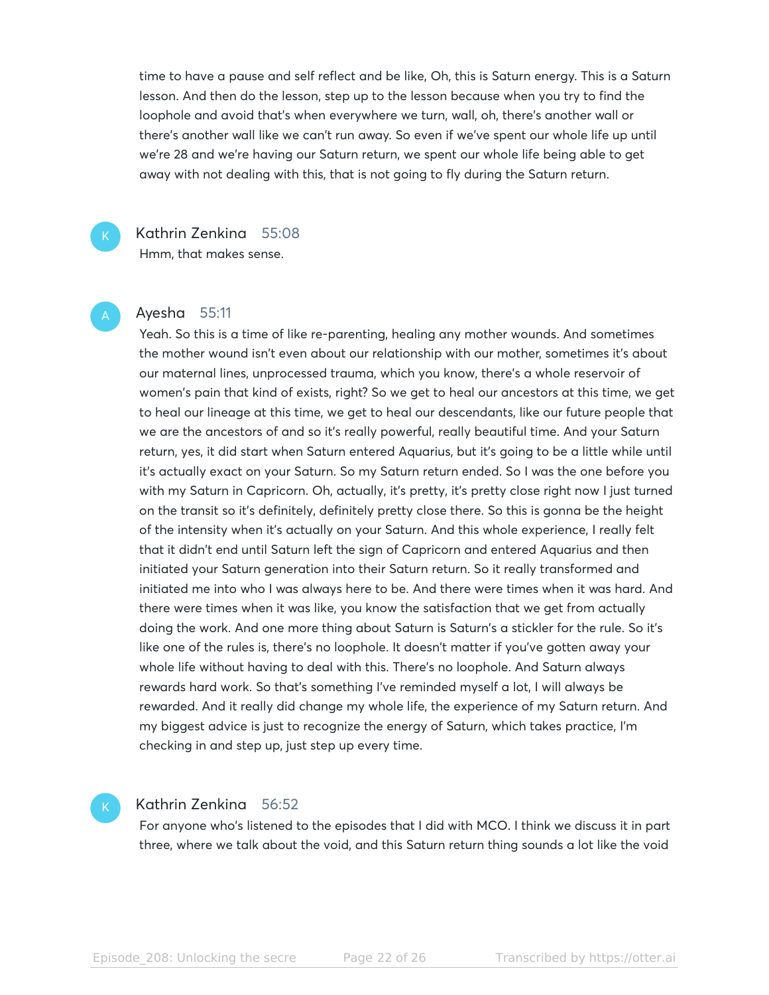time to have a pause and self reflect and be like, Oh, this is Saturn energy. This is a Saturn lesson. And then do the lesson, step up to the lesson because when you try to find the loophole and avoid that's when everywhere we turn, wall, oh, there's another wall or there's another wall like we can't run away. So even if we've spent our whole life up until we're 28 and we're having our Saturn return, we spent our whole life being able to get away with not dealing with this, that is not going to fly during the Saturn return.



# Kathrin Zenkina 55:08

Hmm, that makes sense.

#### Ayesha 55:11

Yeah. So this is a time of like re-parenting, healing any mother wounds. And sometimes the mother wound isn't even about our relationship with our mother, sometimes it's about our maternal lines, unprocessed trauma, which you know, there's a whole reservoir of women's pain that kind of exists, right? So we get to heal our ancestors at this time, we get to heal our lineage at this time, we get to heal our descendants, like our future people that we are the ancestors of and so it's really powerful, really beautiful time. And your Saturn return, yes, it did start when Saturn entered Aquarius, but it's going to be a little while until it's actually exact on your Saturn. So my Saturn return ended. So I was the one before you with my Saturn in Capricorn. Oh, actually, it's pretty, it's pretty close right now I just turned on the transit so it's definitely, definitely pretty close there. So this is gonna be the height of the intensity when it's actually on your Saturn. And this whole experience, I really felt that it didn't end until Saturn left the sign of Capricorn and entered Aquarius and then initiated your Saturn generation into their Saturn return. So it really transformed and initiated me into who I was always here to be. And there were times when it was hard. And there were times when it was like, you know the satisfaction that we get from actually doing the work. And one more thing about Saturn is Saturn's a stickler for the rule. So it's like one of the rules is, there's no loophole. It doesn't matter if you've gotten away your whole life without having to deal with this. There's no loophole. And Saturn always rewards hard work. So that's something I've reminded myself a lot, I will always be rewarded. And it really did change my whole life, the experience of my Saturn return. And my biggest advice is just to recognize the energy of Saturn, which takes practice, I'm checking in and step up, just step up every time.

# Kathrin Zenkina 56:52

For anyone who's listened to the episodes that I did with MCO. I think we discuss it in part three, where we talk about the void, and this Saturn return thing sounds a lot like the void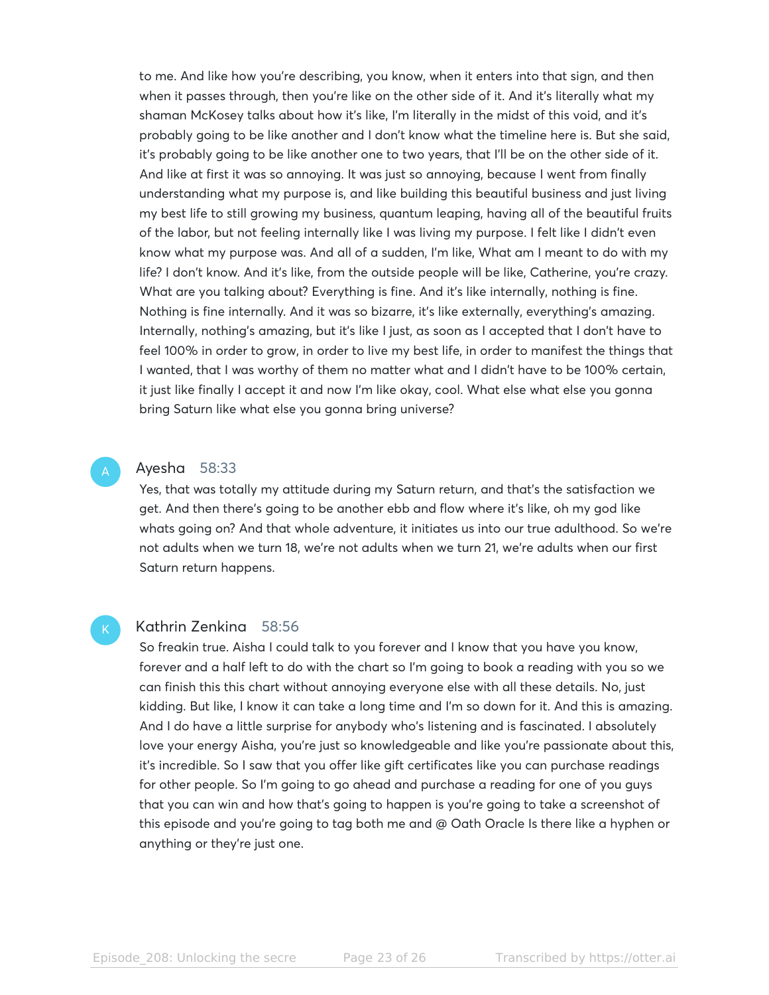to me. And like how you're describing, you know, when it enters into that sign, and then when it passes through, then you're like on the other side of it. And it's literally what my shaman McKosey talks about how it's like, I'm literally in the midst of this void, and it's probably going to be like another and I don't know what the timeline here is. But she said, it's probably going to be like another one to two years, that I'll be on the other side of it. And like at first it was so annoying. It was just so annoying, because I went from finally understanding what my purpose is, and like building this beautiful business and just living my best life to still growing my business, quantum leaping, having all of the beautiful fruits of the labor, but not feeling internally like I was living my purpose. I felt like I didn't even know what my purpose was. And all of a sudden, I'm like, What am I meant to do with my life? I don't know. And it's like, from the outside people will be like, Catherine, you're crazy. What are you talking about? Everything is fine. And it's like internally, nothing is fine. Nothing is fine internally. And it was so bizarre, it's like externally, everything's amazing. Internally, nothing's amazing, but it's like I just, as soon as I accepted that I don't have to feel 100% in order to grow, in order to live my best life, in order to manifest the things that I wanted, that I was worthy of them no matter what and I didn't have to be 100% certain, it just like finally I accept it and now I'm like okay, cool. What else what else you gonna bring Saturn like what else you gonna bring universe?

#### Ayesha 58:33

Yes, that was totally my attitude during my Saturn return, and that's the satisfaction we get. And then there's going to be another ebb and flow where it's like, oh my god like whats going on? And that whole adventure, it initiates us into our true adulthood. So we're not adults when we turn 18, we're not adults when we turn 21, we're adults when our first Saturn return happens.

#### Kathrin Zenkina 58:56

So freakin true. Aisha I could talk to you forever and I know that you have you know, forever and a half left to do with the chart so I'm going to book a reading with you so we can finish this this chart without annoying everyone else with all these details. No, just kidding. But like, I know it can take a long time and I'm so down for it. And this is amazing. And I do have a little surprise for anybody who's listening and is fascinated. I absolutely love your energy Aisha, you're just so knowledgeable and like you're passionate about this, it's incredible. So I saw that you offer like gift certificates like you can purchase readings for other people. So I'm going to go ahead and purchase a reading for one of you guys that you can win and how that's going to happen is you're going to take a screenshot of this episode and you're going to tag both me and @ Oath Oracle Is there like a hyphen or anything or they're just one.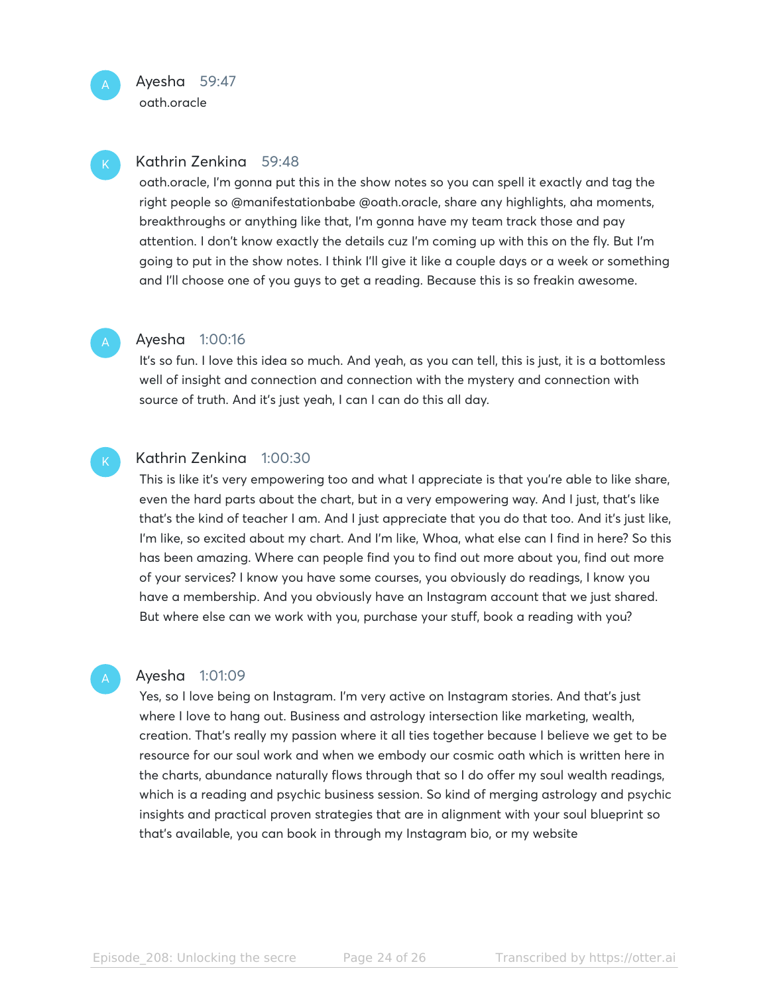oath.oracle

### Kathrin Zenkina 59:48

oath.oracle, I'm gonna put this in the show notes so you can spell it exactly and tag the right people so @manifestationbabe @oath.oracle, share any highlights, aha moments, breakthroughs or anything like that, I'm gonna have my team track those and pay attention. I don't know exactly the details cuz I'm coming up with this on the fly. But I'm going to put in the show notes. I think I'll give it like a couple days or a week or something and I'll choose one of you guys to get a reading. Because this is so freakin awesome.

### Ayesha 1:00:16

It's so fun. I love this idea so much. And yeah, as you can tell, this is just, it is a bottomless well of insight and connection and connection with the mystery and connection with source of truth. And it's just yeah, I can I can do this all day.

# Kathrin Zenkina 1:00:30

This is like it's very empowering too and what I appreciate is that you're able to like share, even the hard parts about the chart, but in a very empowering way. And I just, that's like that's the kind of teacher I am. And I just appreciate that you do that too. And it's just like, I'm like, so excited about my chart. And I'm like, Whoa, what else can I find in here? So this has been amazing. Where can people find you to find out more about you, find out more of your services? I know you have some courses, you obviously do readings, I know you have a membership. And you obviously have an Instagram account that we just shared. But where else can we work with you, purchase your stuff, book a reading with you?

#### Ayesha 1:01:09

Yes, so I love being on Instagram. I'm very active on Instagram stories. And that's just where I love to hang out. Business and astrology intersection like marketing, wealth, creation. That's really my passion where it all ties together because I believe we get to be resource for our soul work and when we embody our cosmic oath which is written here in the charts, abundance naturally flows through that so I do offer my soul wealth readings, which is a reading and psychic business session. So kind of merging astrology and psychic insights and practical proven strategies that are in alignment with your soul blueprint so that's available, you can book in through my Instagram bio, or my website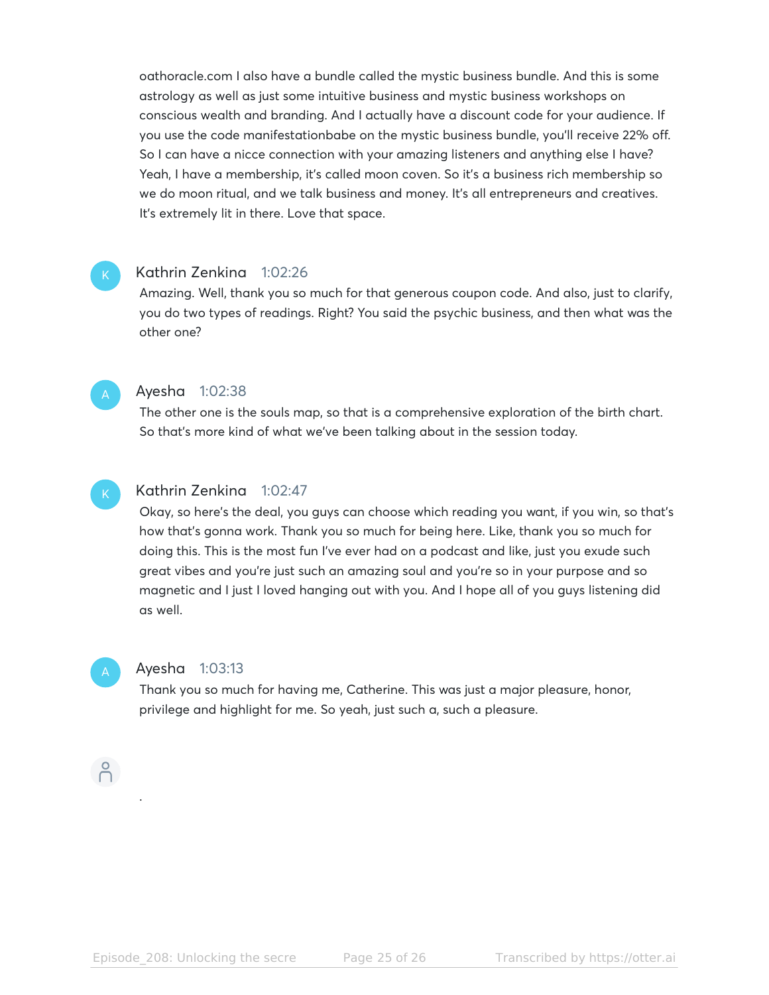oathoracle.com I also have a bundle called the mystic business bundle. And this is some astrology as well as just some intuitive business and mystic business workshops on conscious wealth and branding. And I actually have a discount code for your audience. If you use the code manifestationbabe on the mystic business bundle, you'll receive 22% off. So I can have a nicce connection with your amazing listeners and anything else I have? Yeah, I have a membership, it's called moon coven. So it's a business rich membership so we do moon ritual, and we talk business and money. It's all entrepreneurs and creatives. It's extremely lit in there. Love that space.

### Kathrin Zenkina 1:02:26

Amazing. Well, thank you so much for that generous coupon code. And also, just to clarify, you do two types of readings. Right? You said the psychic business, and then what was the other one?



#### Ayesha 1:02:38

The other one is the souls map, so that is a comprehensive exploration of the birth chart. So that's more kind of what we've been talking about in the session today.



# Kathrin Zenkina 1:02:47

Okay, so here's the deal, you guys can choose which reading you want, if you win, so that's how that's gonna work. Thank you so much for being here. Like, thank you so much for doing this. This is the most fun I've ever had on a podcast and like, just you exude such great vibes and you're just such an amazing soul and you're so in your purpose and so magnetic and I just I loved hanging out with you. And I hope all of you guys listening did as well.

#### Ayesha 1:03:13

Thank you so much for having me, Catherine. This was just a major pleasure, honor, privilege and highlight for me. So yeah, just such a, such a pleasure.

# $\bigcap^{\circ}$

.